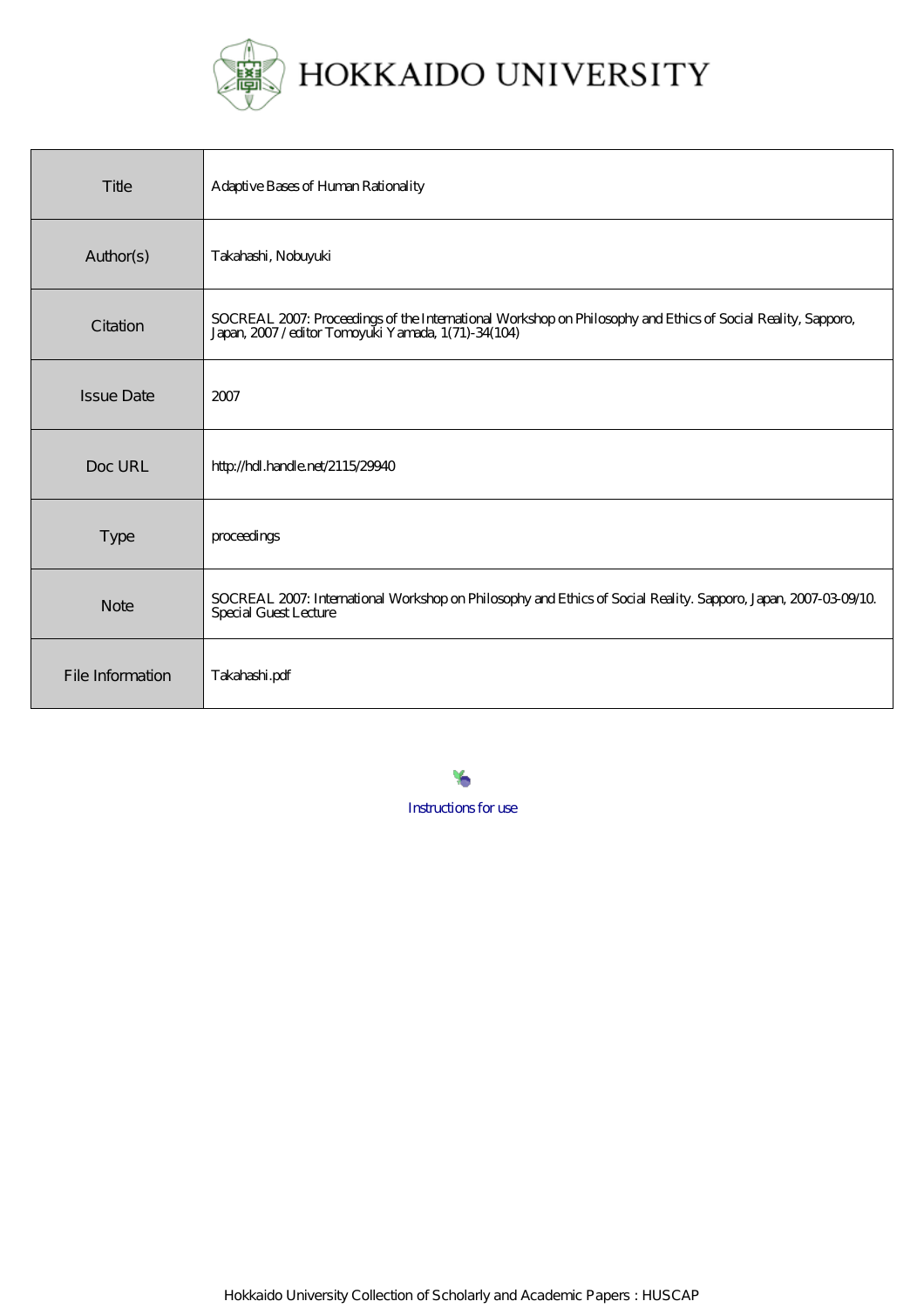

| Title             | Adaptive Bases of Human Rationality                                                                                                                            |
|-------------------|----------------------------------------------------------------------------------------------------------------------------------------------------------------|
| Author(s)         | Takahashi, Nobuyuki                                                                                                                                            |
| Citation          | SOCREAL 2007: Proceedings of the International Workshop on Philosophy and Ethics of Social Reality, Sapporo, Japan, 2007/editor Tomoyuki Yamada, 1(71)-34(104) |
| <b>Issue Date</b> | 2007                                                                                                                                                           |
| Doc URL           | http://hdl.handle.net/2115/29940                                                                                                                               |
| <b>Type</b>       | proceedings                                                                                                                                                    |
| <b>Note</b>       | SOCREAL 2007: International Workshop on Philosophy and Ethics of Social Reality. Sapporo, Japan, 2007-03-09/10<br><b>Special Guest Lecture</b>                 |
| File Information  | Takahashi.pdf                                                                                                                                                  |

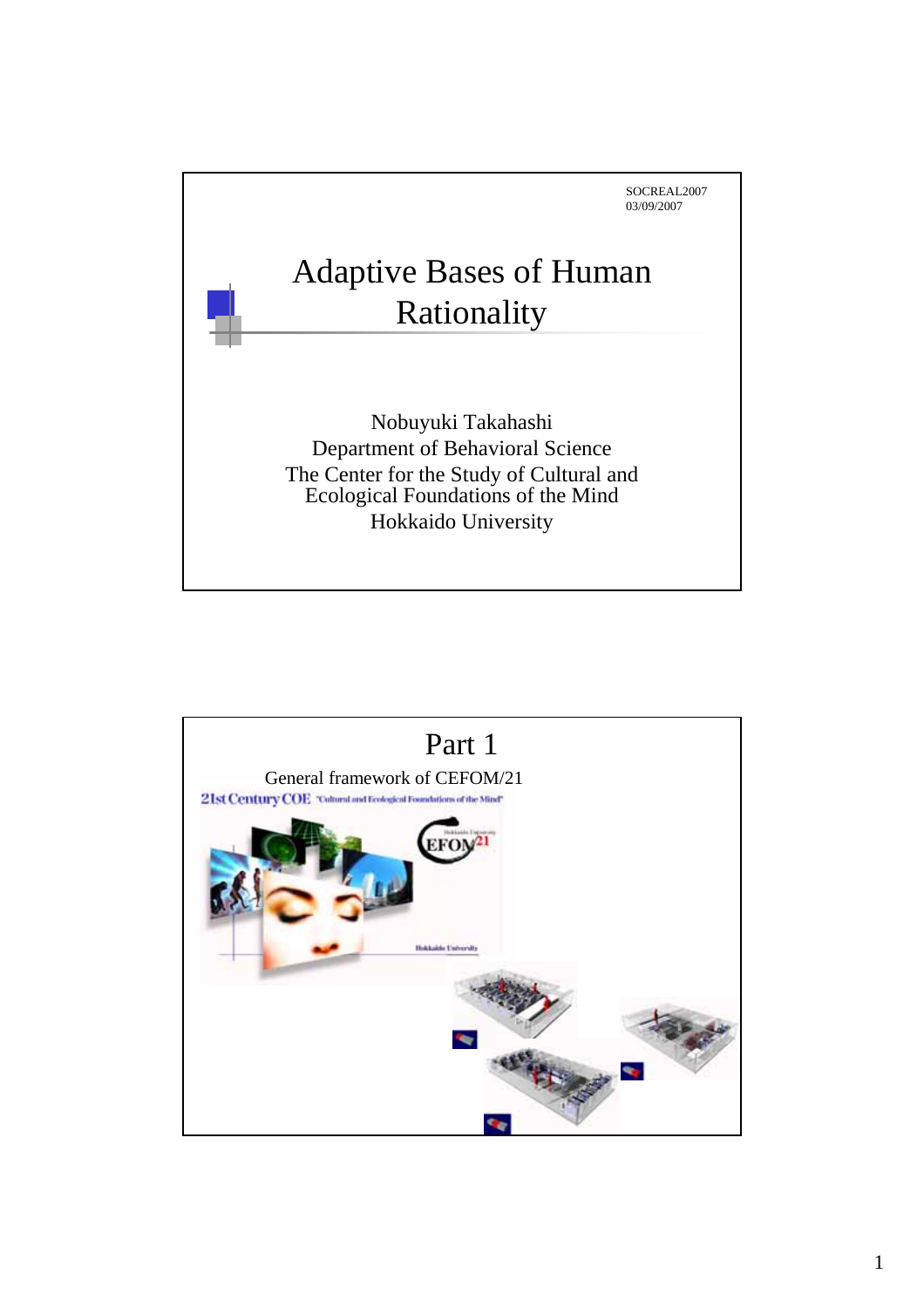

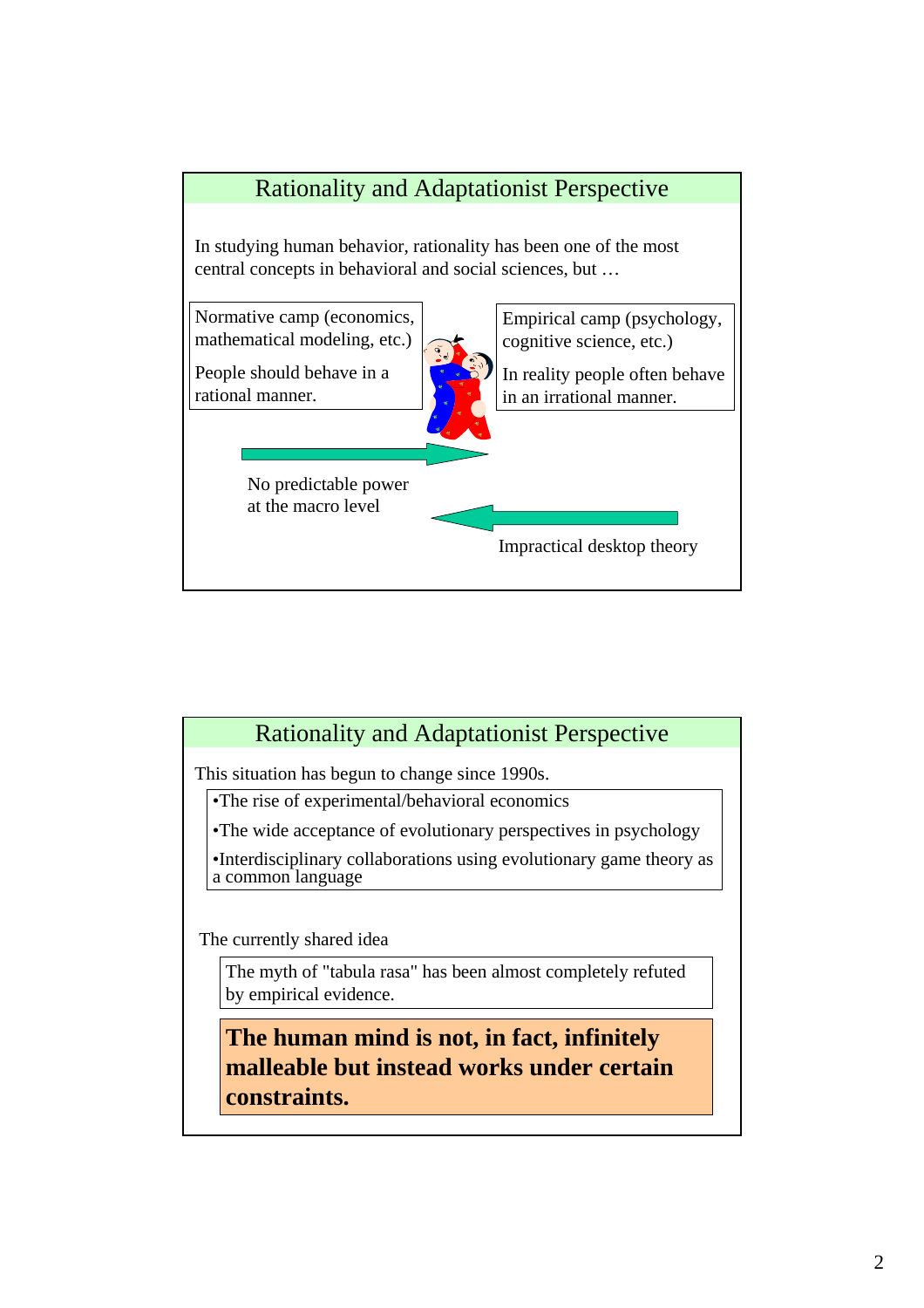

#### Rationality and Adaptationist Perspective

This situation has begun to change since 1990s.

•The rise of experimental/behavioral economics

•The wide acceptance of evolutionary perspectives in psychology

•Interdisciplinary collaborations using evolutionary game theory as a common language

The currently shared idea

The myth of "tabula rasa" has been almost completely refuted by empirical evidence.

**The human mind is not, in fact, infinitely malleable but instead works under certain constraints.**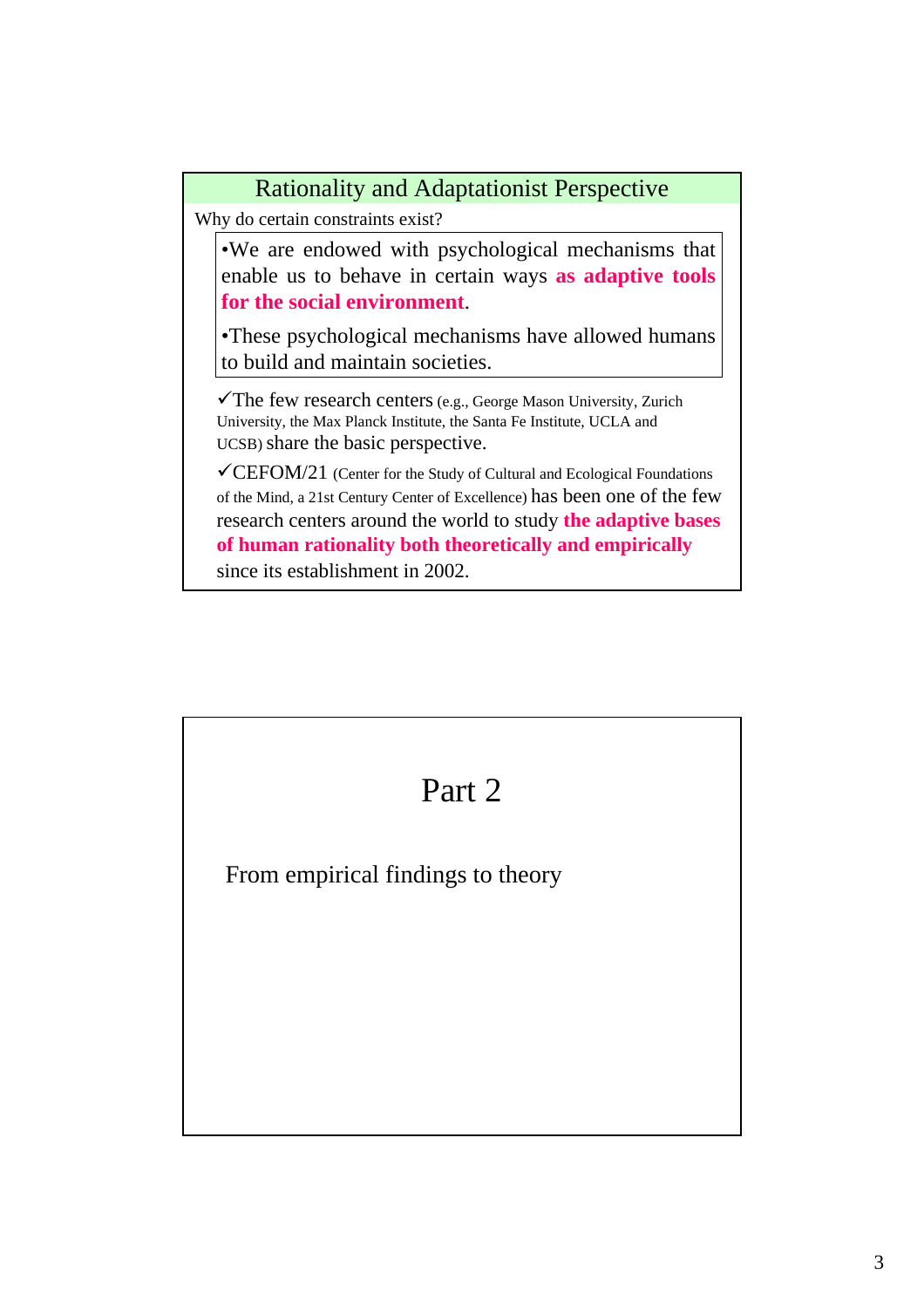Why do certain constraints exist? •We are endowed with psychological mechanisms that enable us to behave in certain ways **as adaptive tools for the social environment**. •These psychological mechanisms have allowed humans to build and maintain societies.  $\checkmark$ The few research centers (e.g., George Mason University, Zurich University, the Max Planck Institute, the Santa Fe Institute, UCLA and UCSB) share the basic perspective. Rationality and Adaptationist Perspective

 $\checkmark$ CEFOM/21 (Center for the Study of Cultural and Ecological Foundations of the Mind, a 21st Century Center of Excellence) has been one of the few research centers around the world to study **the adaptive bases of human rationality both theoretically and empirically** since its establishment in 2002.

# Part 2 From empirical findings to theory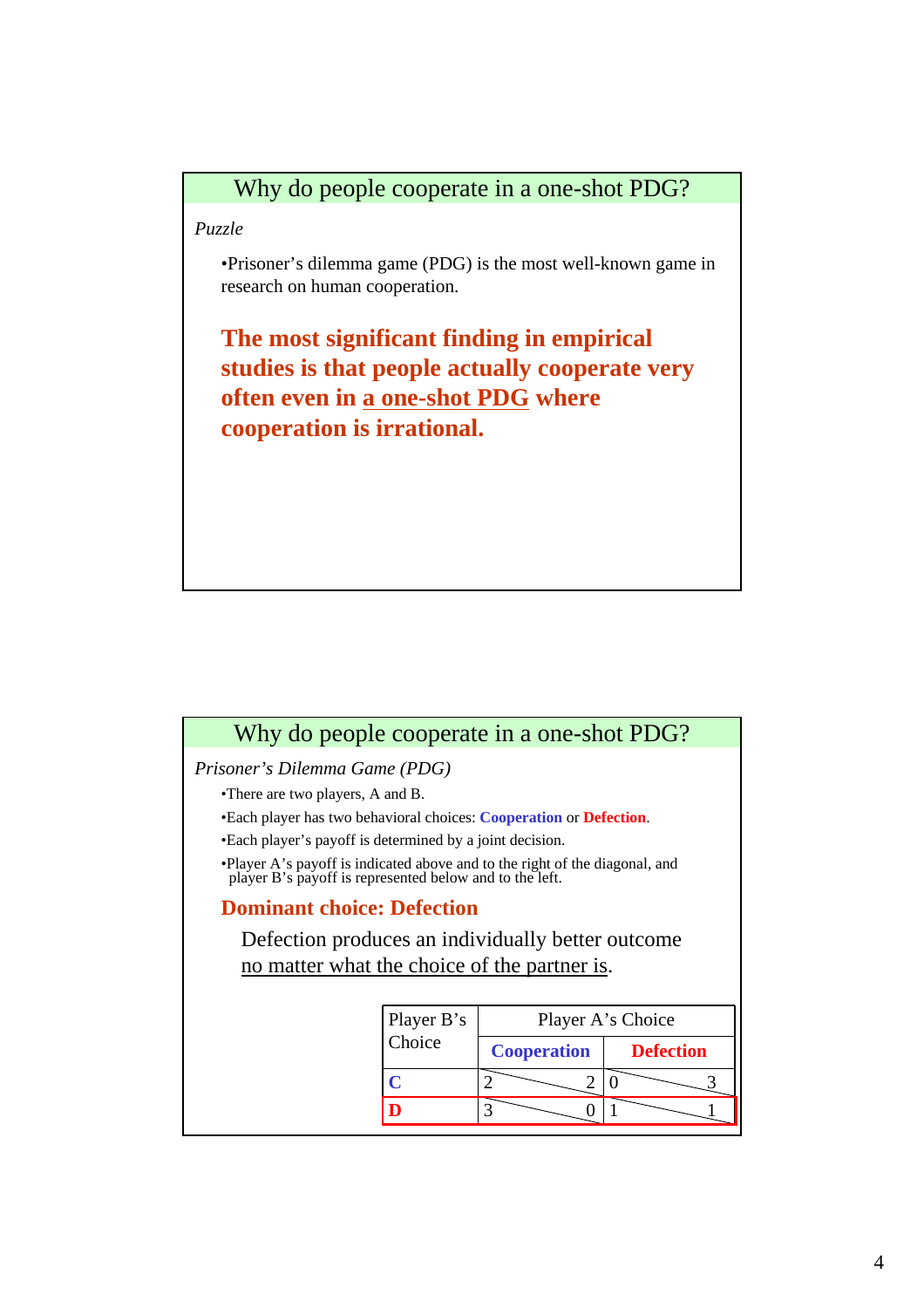*Puzzle*

•Prisoner's dilemma game (PDG) is the most well-known game in research on human cooperation.

**The most significant finding in empirical studies is that people actually cooperate very often even in a one-shot PDG where cooperation is irrational.**

#### Why do people cooperate in a one-shot PDG?

*Prisoner's Dilemma Game (PDG)*

- •There are two players, A and B.
- •Each player has two behavioral choices: **Cooperation** or **Defection**.
- •Each player's payoff is determined by a joint decision.
- •Player A's payoff is indicated above and to the right of the diagonal, and player B's payoff is represented below and to the left.

#### **Dominant choice: Defection**

Defection produces an individually better outcome no matter what the choice of the partner is.

| Player B's<br>Choice |                    | Player A's Choice |
|----------------------|--------------------|-------------------|
|                      | <b>Cooperation</b> | <b>Defection</b>  |
|                      |                    |                   |
|                      |                    |                   |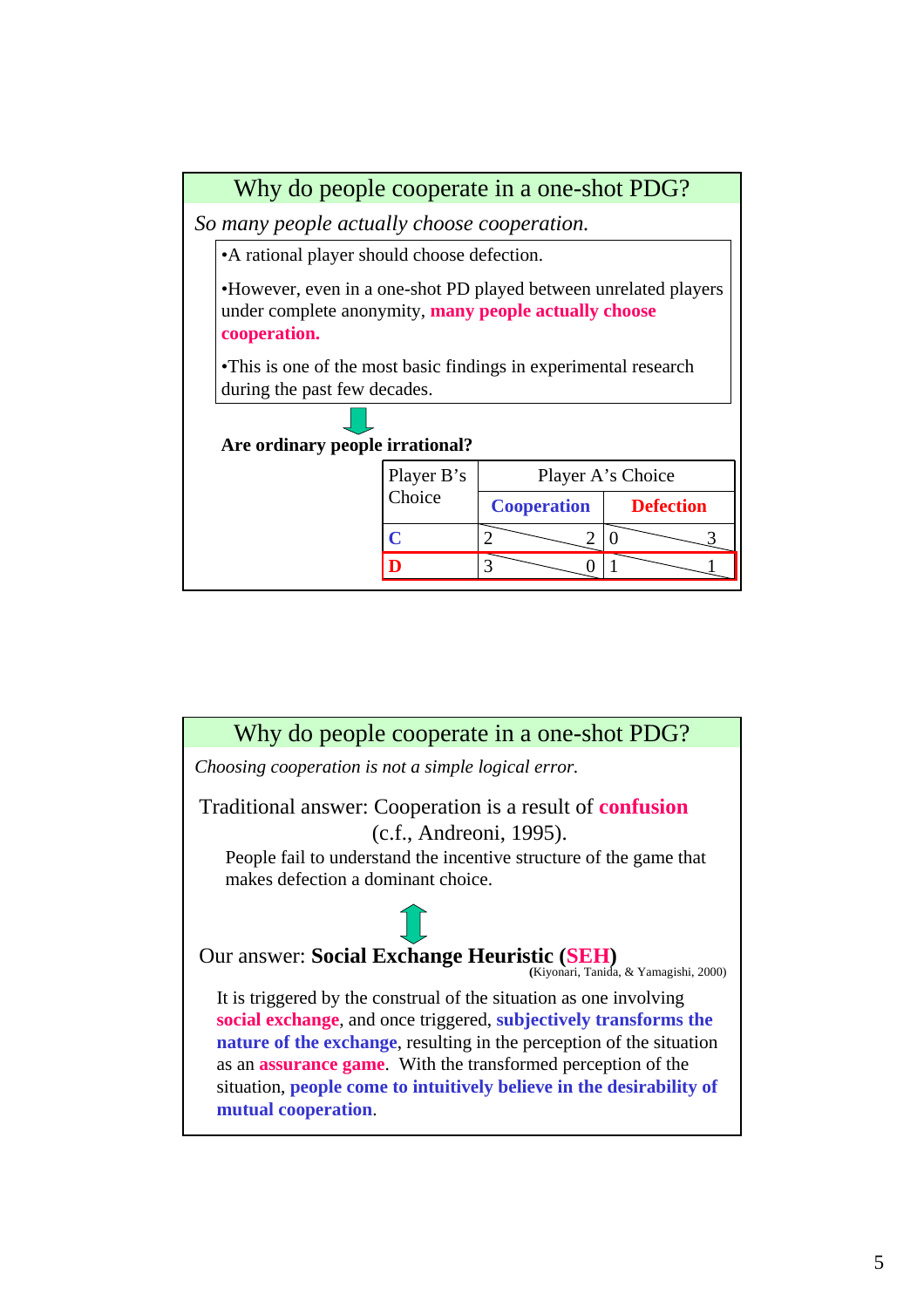

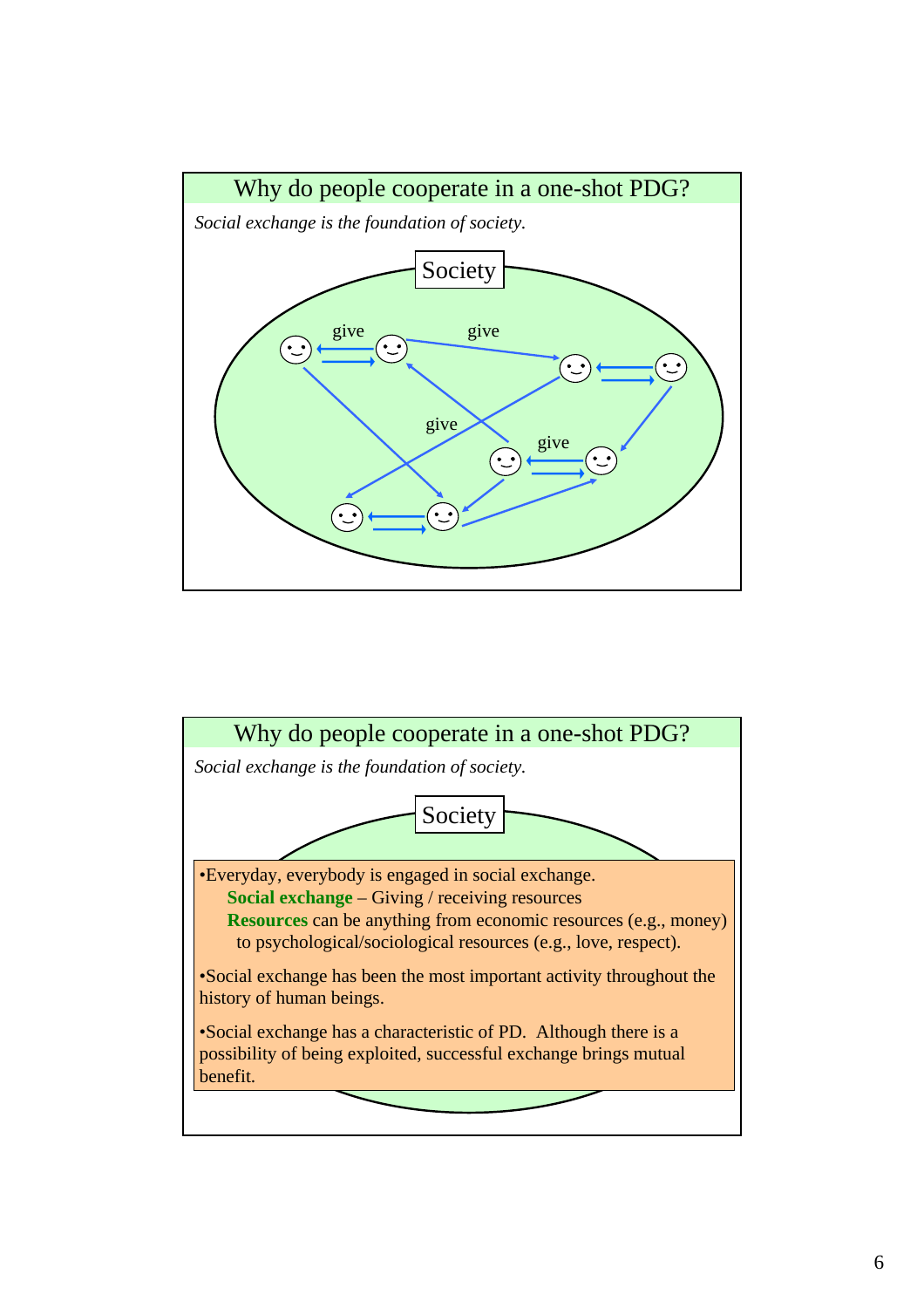

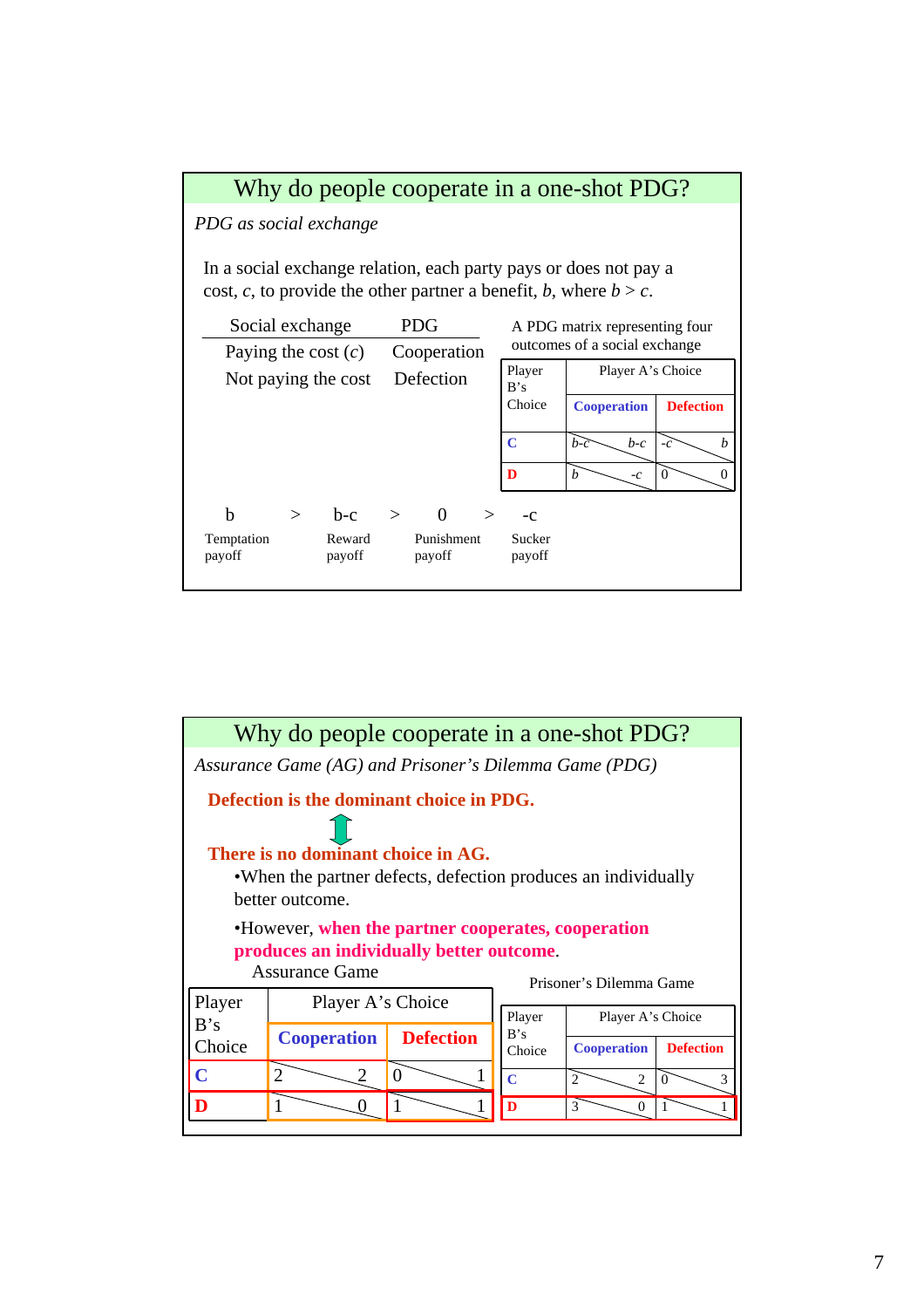

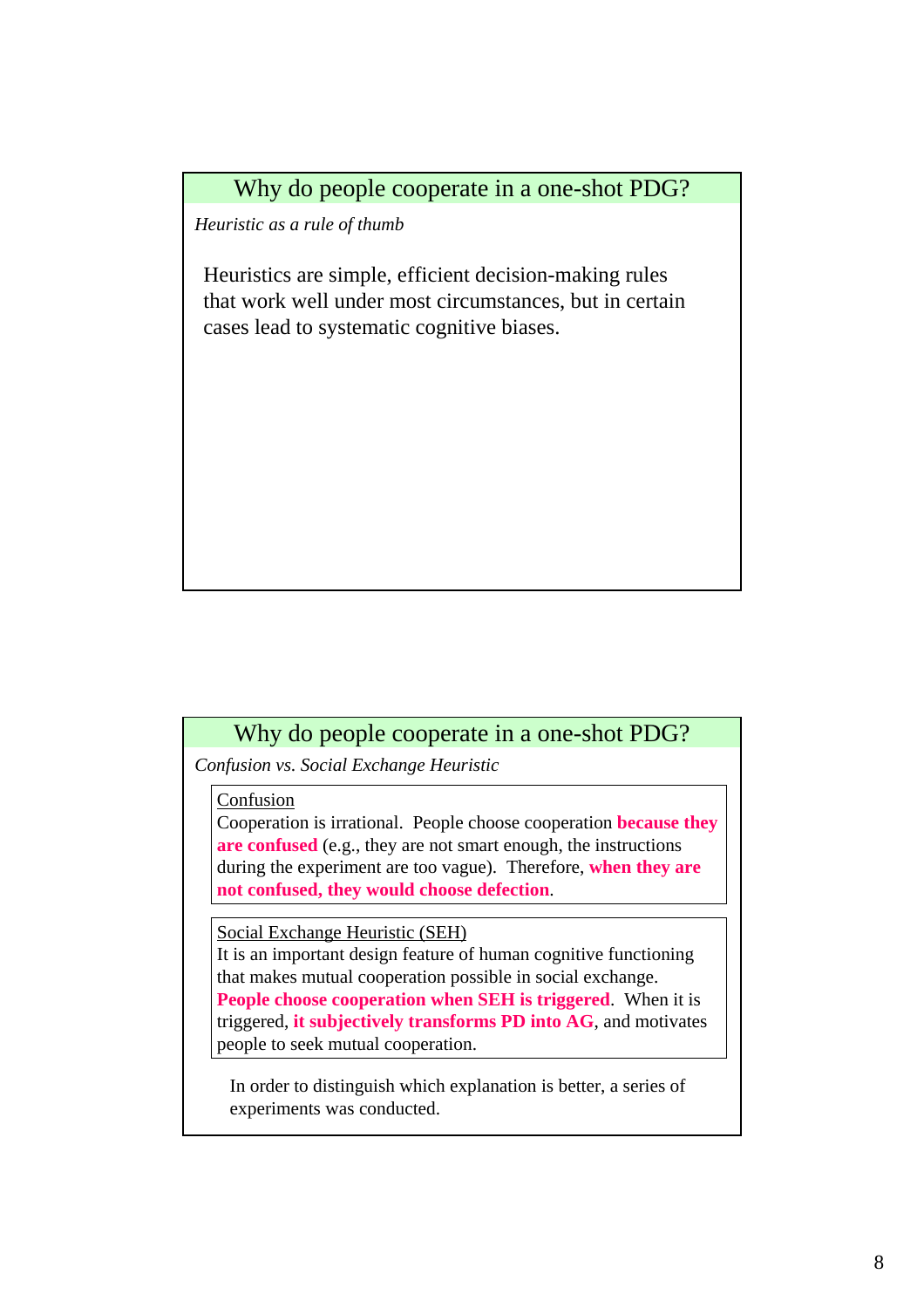*Heuristic as a rule of thumb*

Heuristics are simple, efficient decision-making rules that work well under most circumstances, but in certain cases lead to systematic cognitive biases.

#### Why do people cooperate in a one-shot PDG?

*Confusion vs. Social Exchange Heuristic*

Confusion

Cooperation is irrational. People choose cooperation **because they are confused** (e.g., they are not smart enough, the instructions during the experiment are too vague). Therefore, **when they are not confused, they would choose defection**.

Social Exchange Heuristic (SEH)

It is an important design feature of human cognitive functioning that makes mutual cooperation possible in social exchange. **People choose cooperation when SEH is triggered**. When it is triggered, **it subjectively transforms PD into AG**, and motivates people to seek mutual cooperation.

In order to distinguish which explanation is better, a series of experiments was conducted.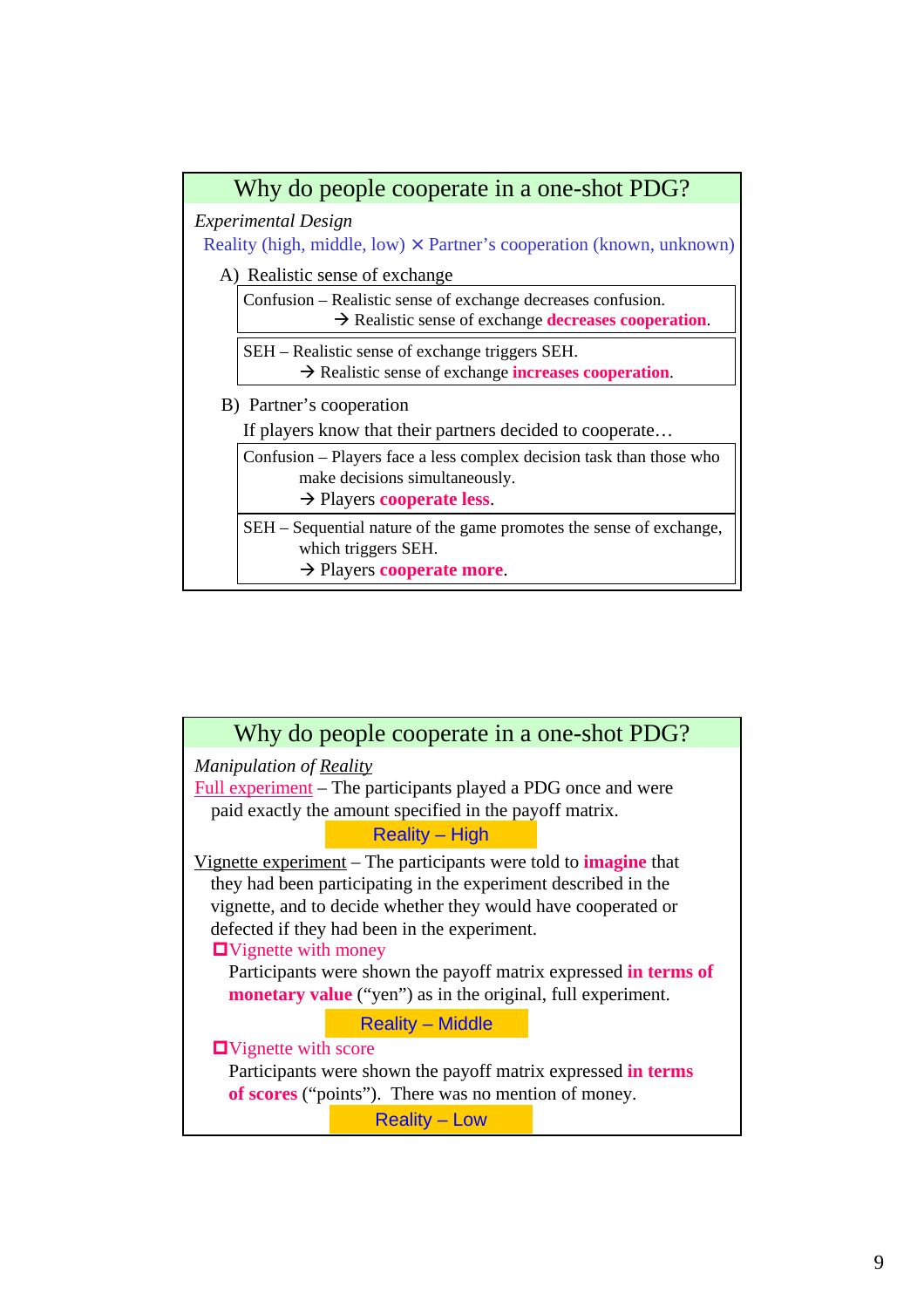

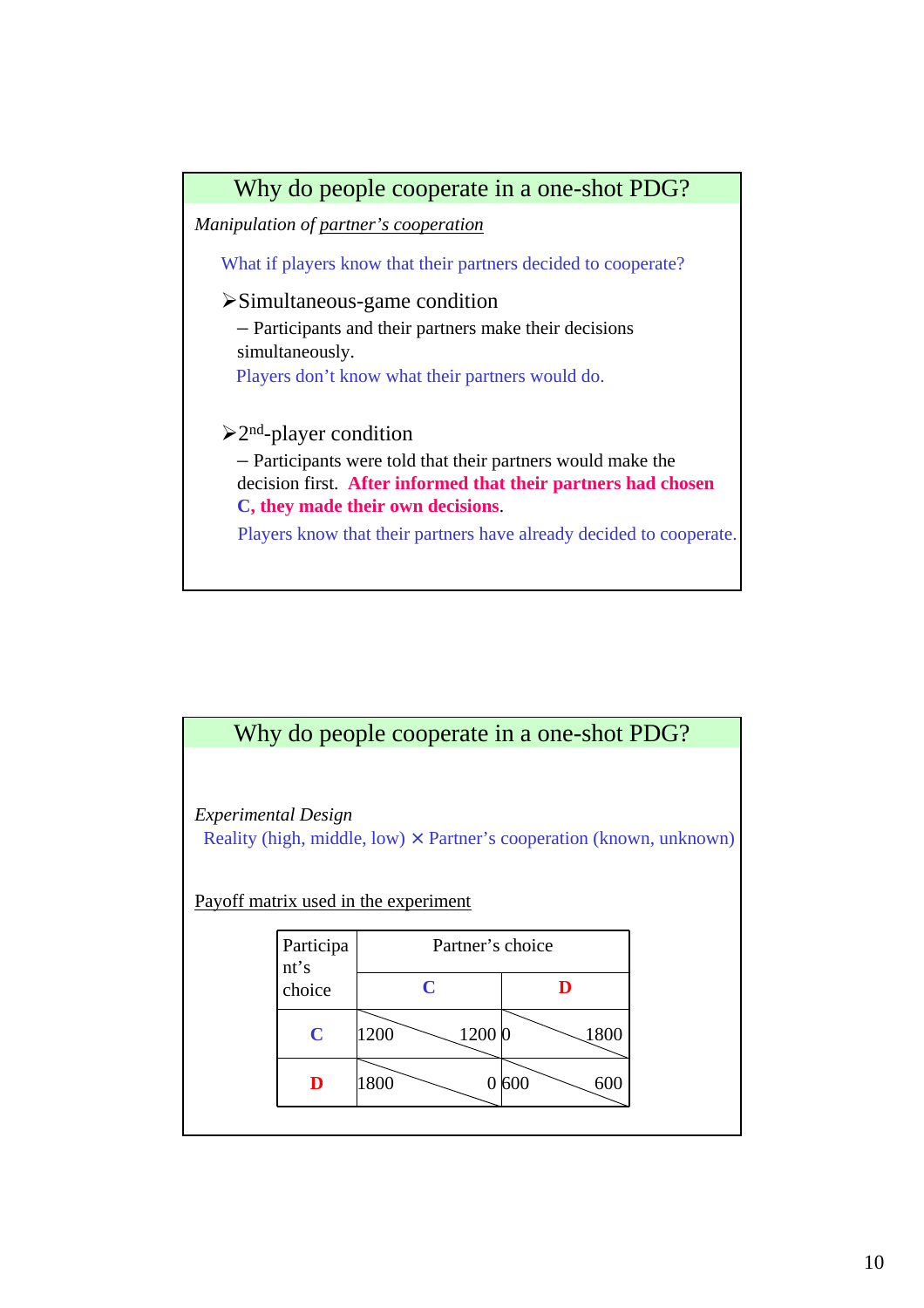

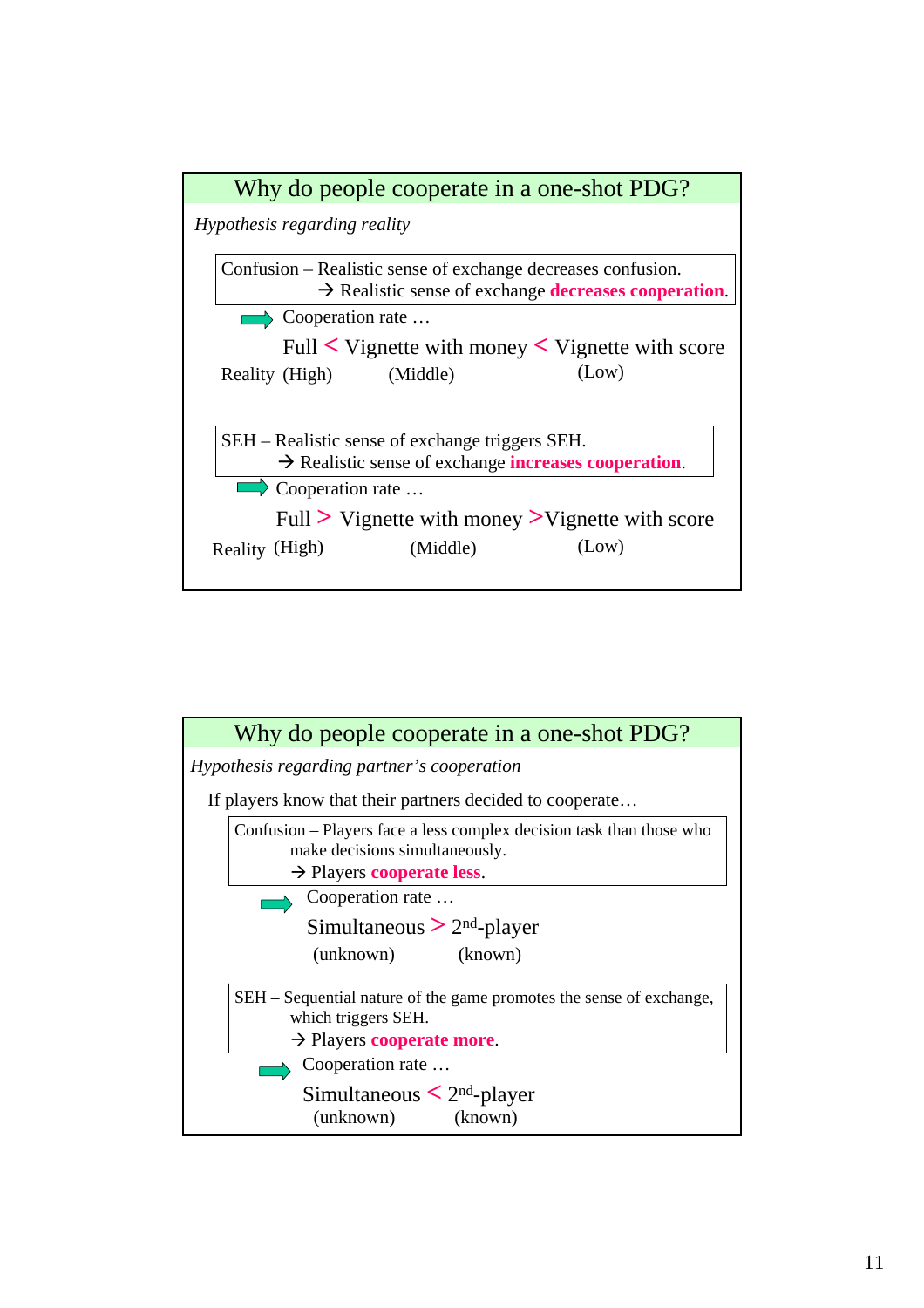

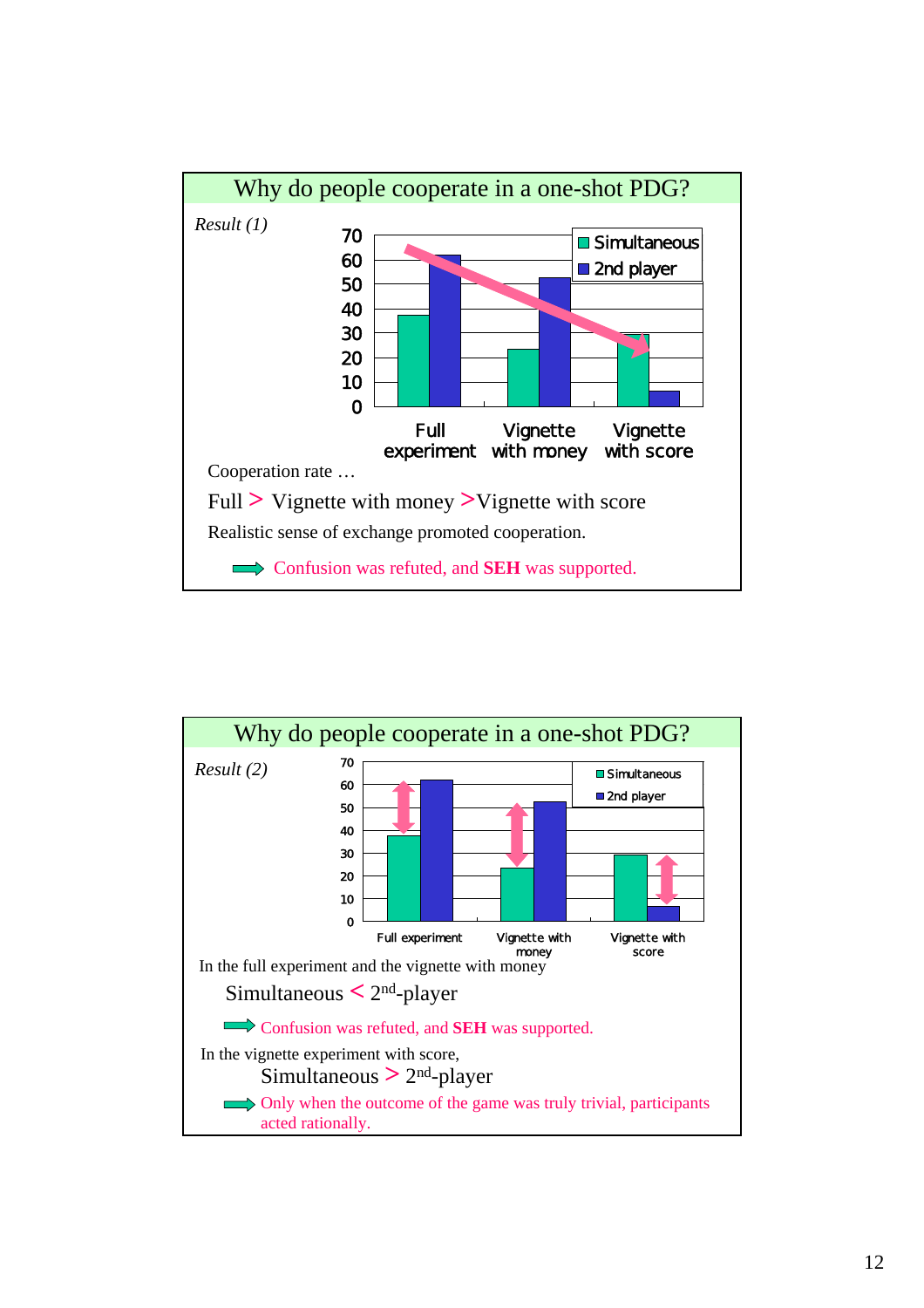

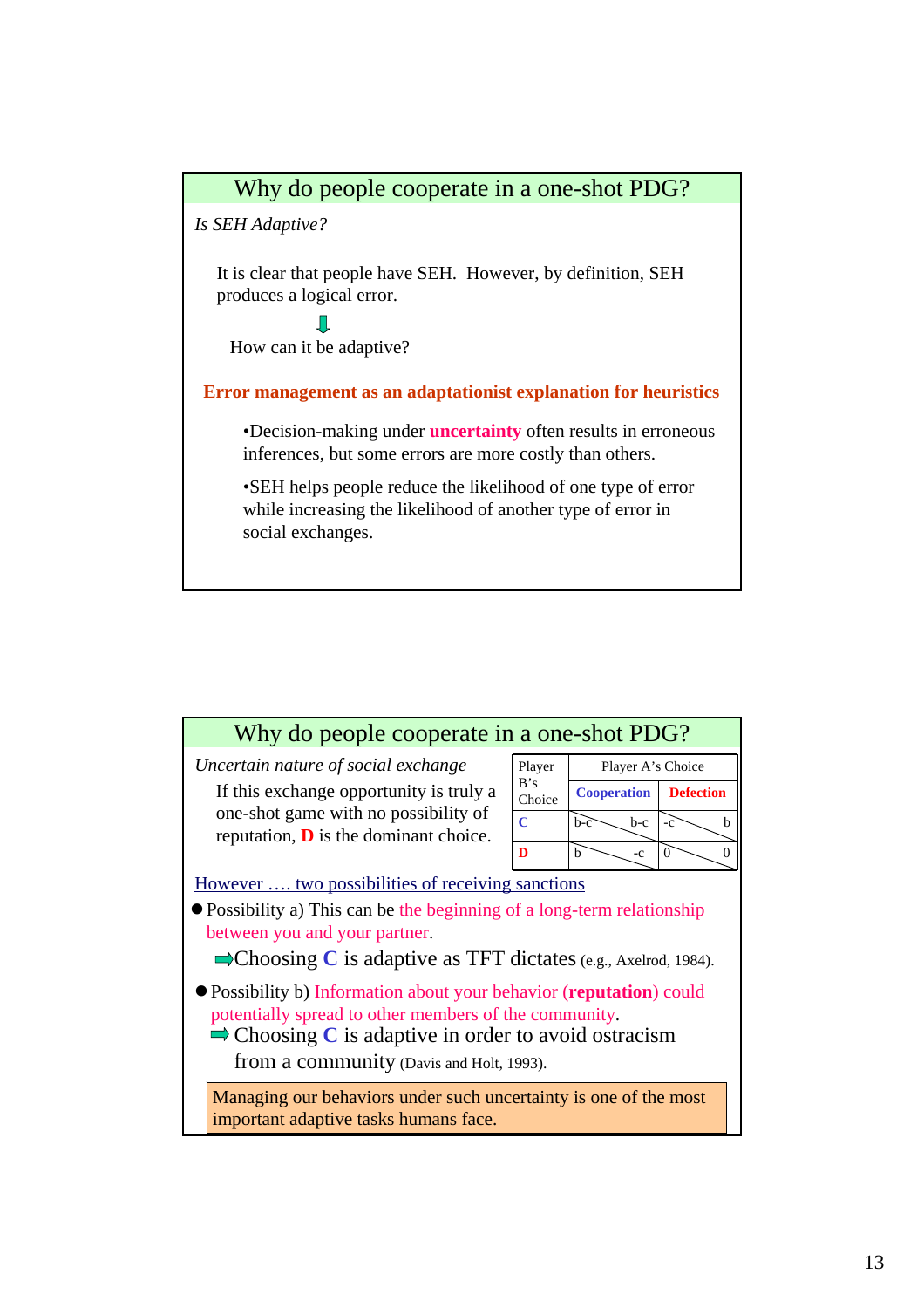*Is SEH Adaptive?*

It is clear that people have SEH. However, by definition, SEH produces a logical error.

 $\blacksquare$ 

How can it be adaptive?

**Error management as an adaptationist explanation for heuristics**

•Decision-making under **uncertainty** often results in erroneous inferences, but some errors are more costly than others.

•SEH helps people reduce the likelihood of one type of error while increasing the likelihood of another type of error in social exchanges.

| Why do people cooperate in a one-shot PDG?                                                                                                                                                                                                          |                |                    |                      |  |  |  |
|-----------------------------------------------------------------------------------------------------------------------------------------------------------------------------------------------------------------------------------------------------|----------------|--------------------|----------------------|--|--|--|
| Uncertain nature of social exchange                                                                                                                                                                                                                 | Player         | Player A's Choice  |                      |  |  |  |
| If this exchange opportunity is truly a                                                                                                                                                                                                             | B's<br>Choice  | <b>Cooperation</b> | <b>Defection</b>     |  |  |  |
| one-shot game with no possibility of<br>reputation, $\bf{D}$ is the dominant choice.                                                                                                                                                                | $\overline{C}$ | $b-c$<br>$b-c$     | b<br>$-c$            |  |  |  |
|                                                                                                                                                                                                                                                     | D              | b<br>$-c$          | $\Omega$<br>$\Omega$ |  |  |  |
| However  two possibilities of receiving sanctions<br>• Possibility a) This can be the beginning of a long-term relationship<br>between you and your partner.<br>$\blacktriangleright$ Choosing C is adaptive as TFT dictates (e.g., Axelrod, 1984). |                |                    |                      |  |  |  |
| • Possibility b) Information about your behavior (reputation) could<br>potentially spread to other members of the community.<br>$\Rightarrow$ Choosing C is adaptive in order to avoid ostracism<br>from a community (Davis and Holt, 1993).        |                |                    |                      |  |  |  |
| Managing our behaviors under such uncertainty is one of the most<br>important adaptive tasks humans face.                                                                                                                                           |                |                    |                      |  |  |  |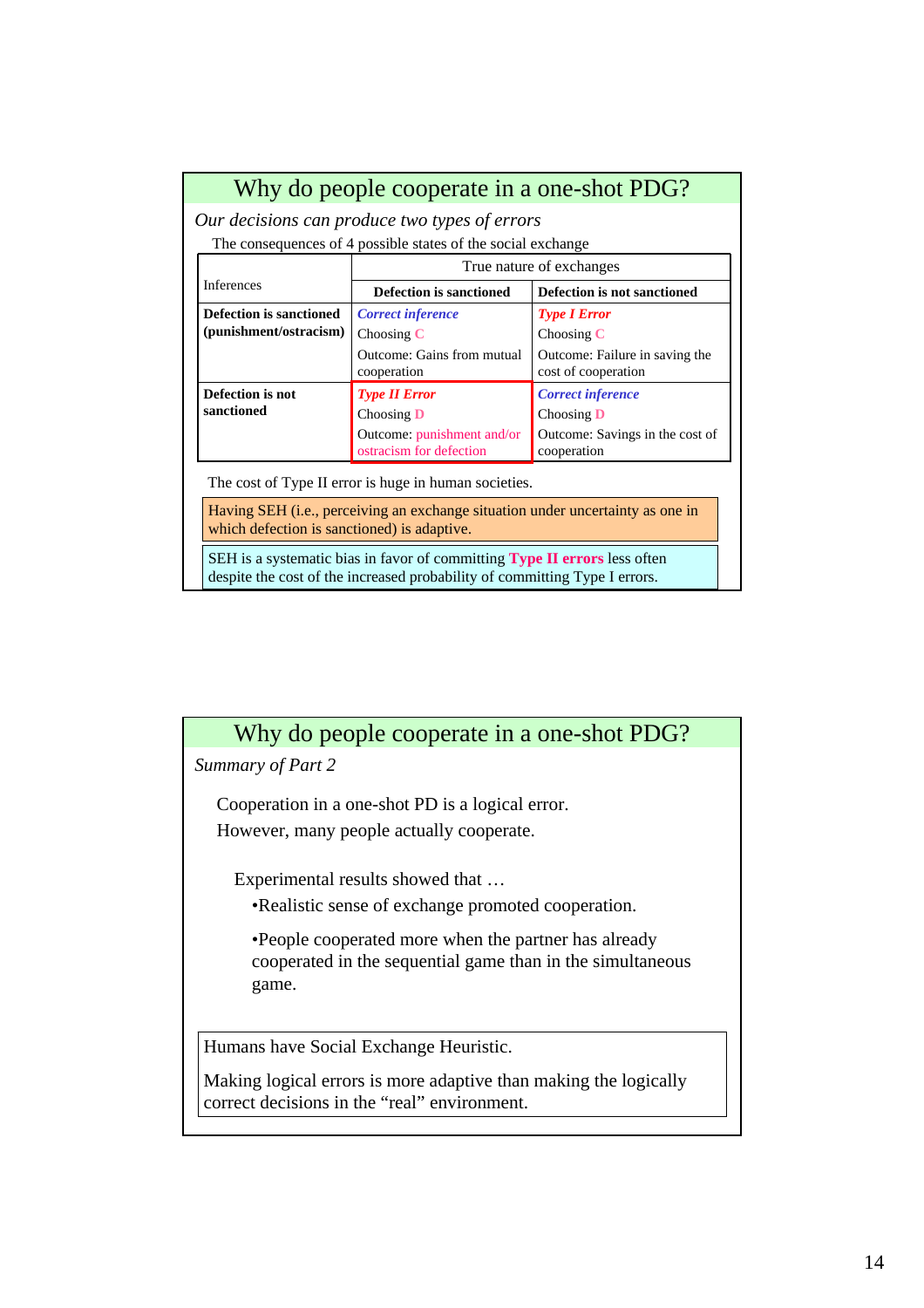*Our decisions can produce two types of errors*

The consequences of 4 possible states of the social exchange

|                         | True nature of exchanges                              |                                                |  |  |  |  |
|-------------------------|-------------------------------------------------------|------------------------------------------------|--|--|--|--|
| <b>Inferences</b>       | <b>Defection is sanctioned</b>                        | Defection is not sanctioned                    |  |  |  |  |
| Defection is sanctioned | <b>Correct inference</b>                              | <b>Type I Error</b>                            |  |  |  |  |
| (punishment/ostracism)  | Choosing $C$                                          | Choosing $C$                                   |  |  |  |  |
|                         | Outcome: Gains from mutual                            | Outcome: Failure in saving the                 |  |  |  |  |
|                         | cooperation                                           | cost of cooperation                            |  |  |  |  |
| Defection is not        | <b>Type II Error</b>                                  | <b>Correct inference</b>                       |  |  |  |  |
| sanctioned              | Choosing $\bf{D}$                                     | Choosing $\bf{D}$                              |  |  |  |  |
|                         | Outcome: punishment and/or<br>ostracism for defection | Outcome: Savings in the cost of<br>cooperation |  |  |  |  |

The cost of Type II error is huge in human societies.

Having SEH (i.e., perceiving an exchange situation under uncertainty as one in which defection is sanctioned) is adaptive.

SEH is a systematic bias in favor of committing **Type II errors** less often despite the cost of the increased probability of committing Type I errors.

#### Why do people cooperate in a one-shot PDG?

*Summary of Part 2*

Cooperation in a one-shot PD is a logical error. However, many people actually cooperate.

Experimental results showed that …

•Realistic sense of exchange promoted cooperation.

•People cooperated more when the partner has already cooperated in the sequential game than in the simultaneous game.

Humans have Social Exchange Heuristic.

Making logical errors is more adaptive than making the logically correct decisions in the "real" environment.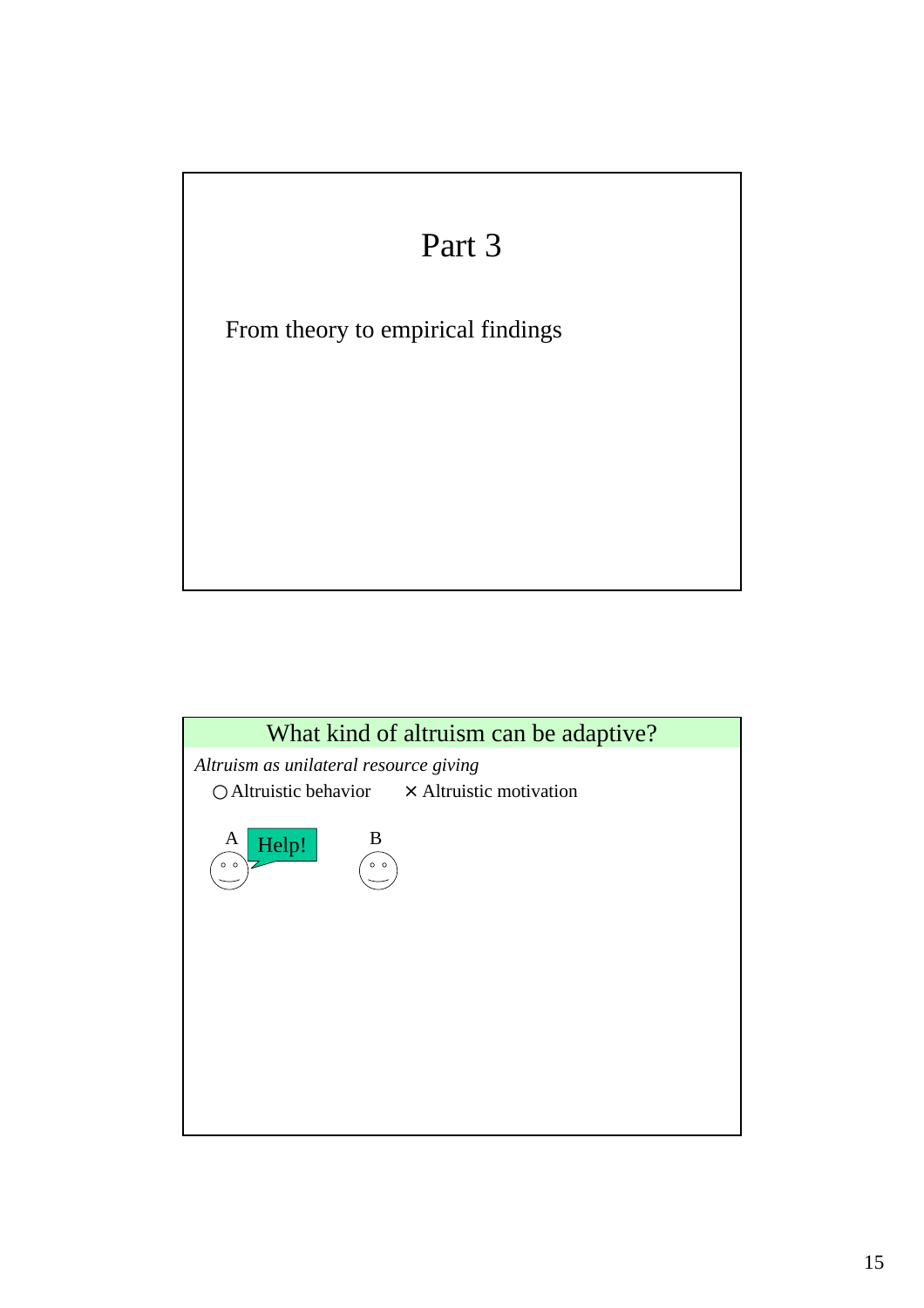

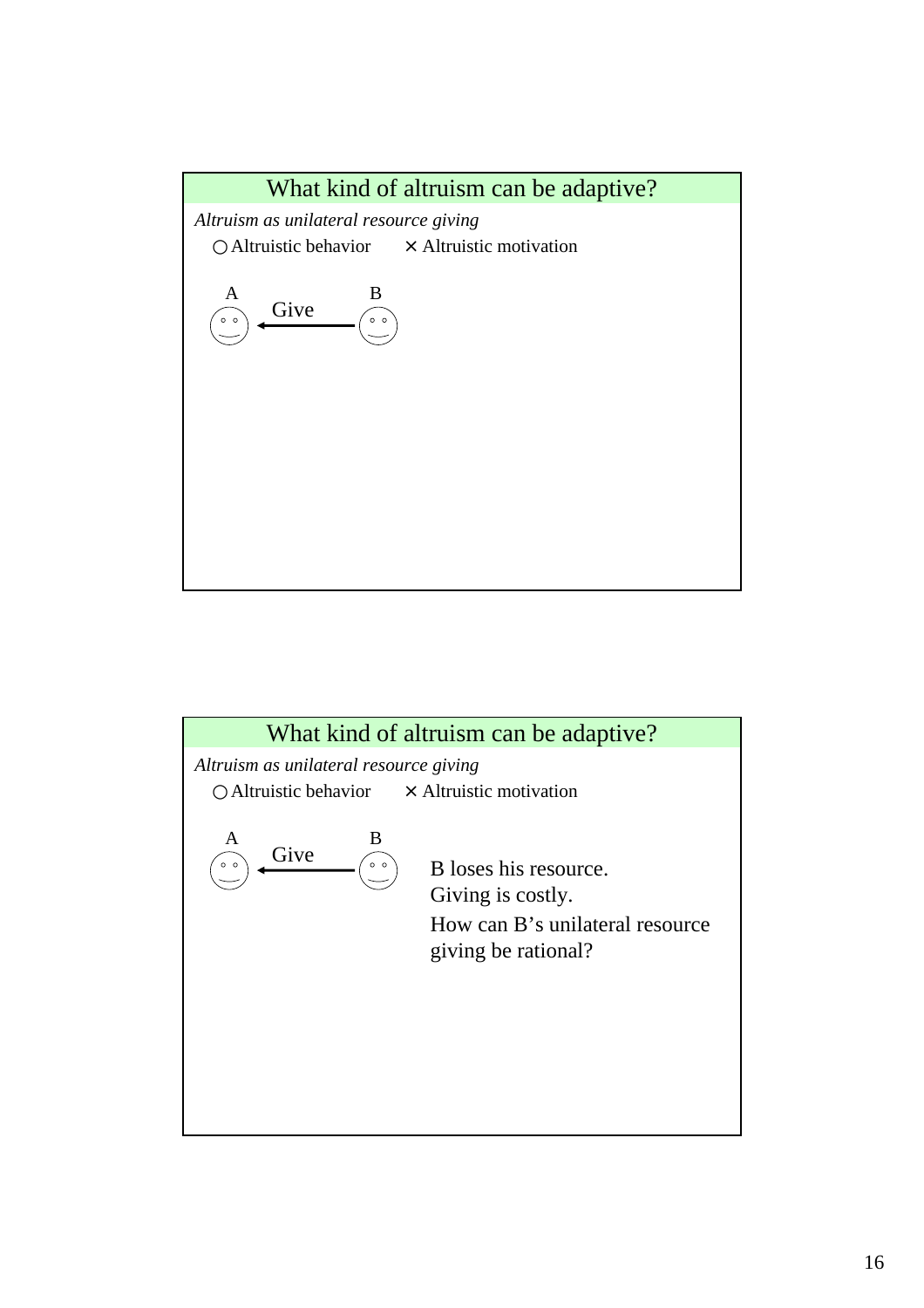

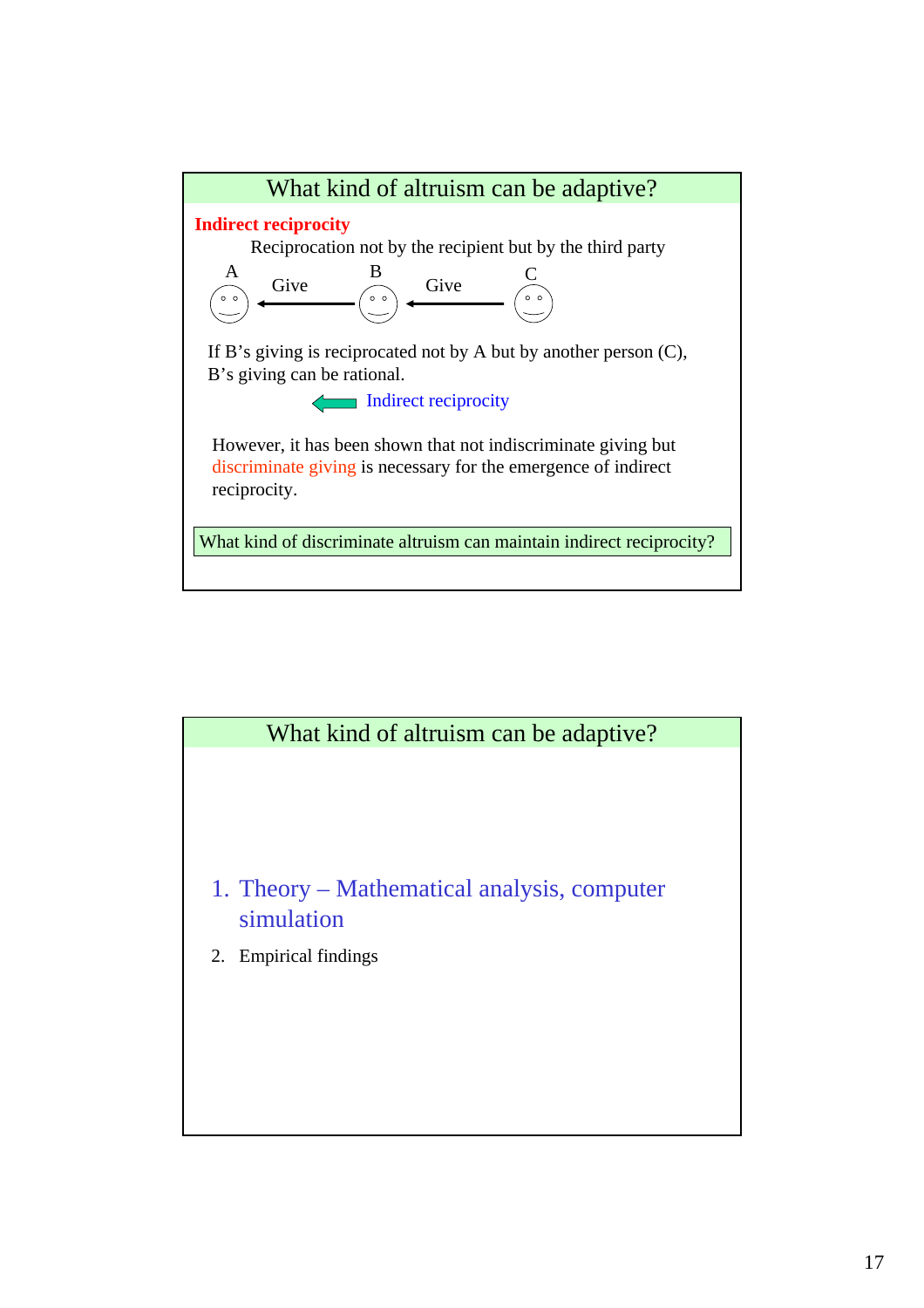



- 1. Theory Mathematical analysis, computer simulation
- 2. Empirical findings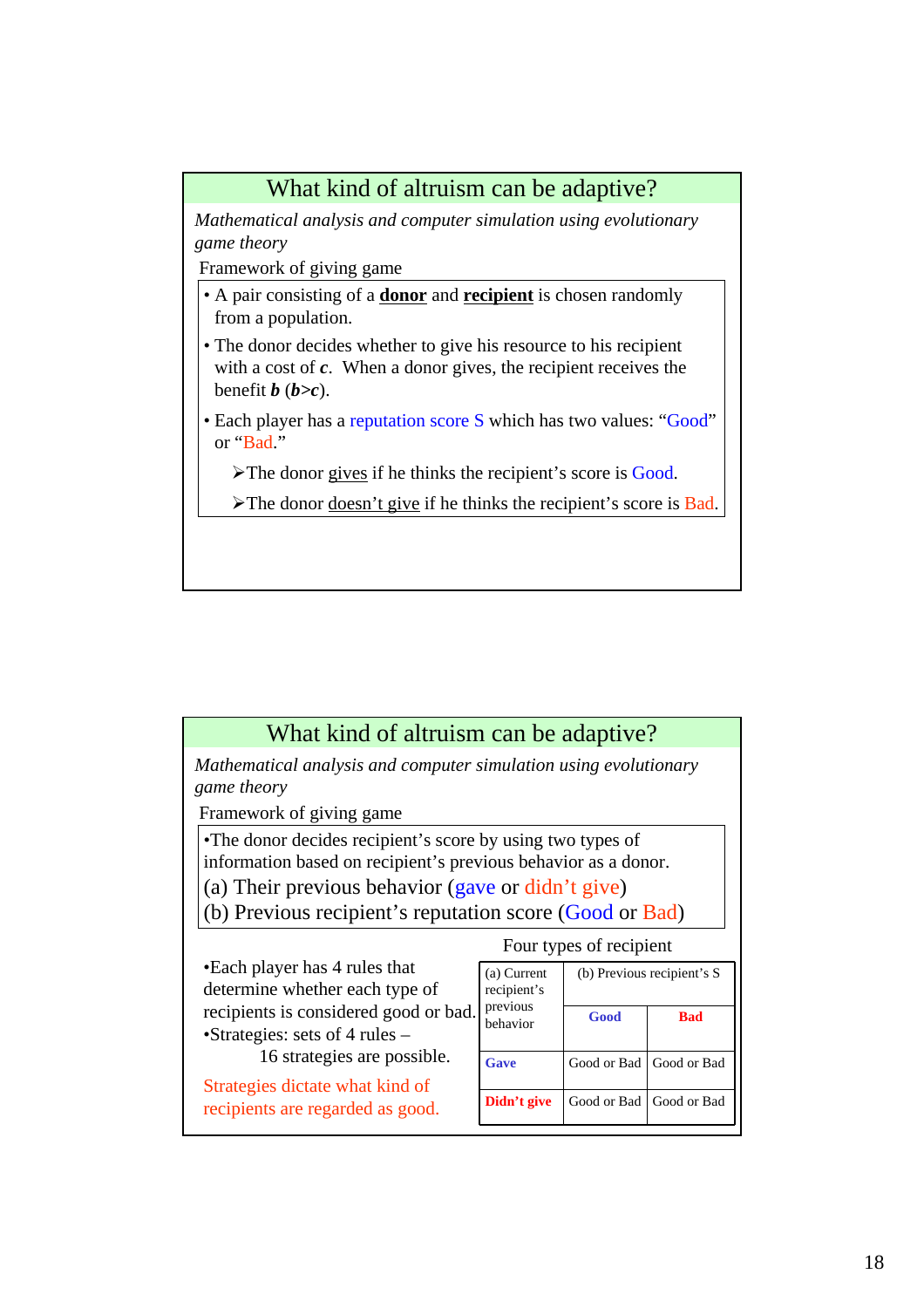## What kind of altruism can be adaptive?

*Mathematical analysis and computer simulation using evolutionary game theory*

Framework of giving game

- A pair consisting of a **donor** and **recipient** is chosen randomly from a population.
- The donor decides whether to give his resource to his recipient with a cost of **c**. When a donor gives, the recipient receives the benefit  $\boldsymbol{b}$  ( $\boldsymbol{b} > c$ ).
- Each player has a reputation score S which has two values: "Good" or "Bad."
	- ¾The donor gives if he thinks the recipient's score is Good.
	- ¾The donor doesn't give if he thinks the recipient's score is Bad.

| What kind of altruism can be adaptive?                                  |                         |             |                            |  |  |  |
|-------------------------------------------------------------------------|-------------------------|-------------|----------------------------|--|--|--|
| Mathematical analysis and computer simulation using evolutionary        |                         |             |                            |  |  |  |
| game theory                                                             |                         |             |                            |  |  |  |
| Framework of giving game                                                |                         |             |                            |  |  |  |
| • The donor decides recipient's score by using two types of             |                         |             |                            |  |  |  |
| information based on recipient's previous behavior as a donor.          |                         |             |                            |  |  |  |
| (a) Their previous behavior (gave or didn't give)                       |                         |             |                            |  |  |  |
| (b) Previous recipient's reputation score (Good or Bad)                 |                         |             |                            |  |  |  |
|                                                                         | Four types of recipient |             |                            |  |  |  |
| •Each player has 4 rules that                                           | (a) Current             |             | (b) Previous recipient's S |  |  |  |
| determine whether each type of<br>recipient's                           |                         |             |                            |  |  |  |
|                                                                         |                         |             |                            |  |  |  |
| recipients is considered good or bad.<br>•Strategies: sets of 4 rules – | previous<br>behavior    | Good        | <b>Bad</b>                 |  |  |  |
| 16 strategies are possible.                                             | Gave                    | Good or Bad | Good or Bad                |  |  |  |
| Strategies dictate what kind of<br>recipients are regarded as good.     | Didn't give             | Good or Bad | Good or Bad                |  |  |  |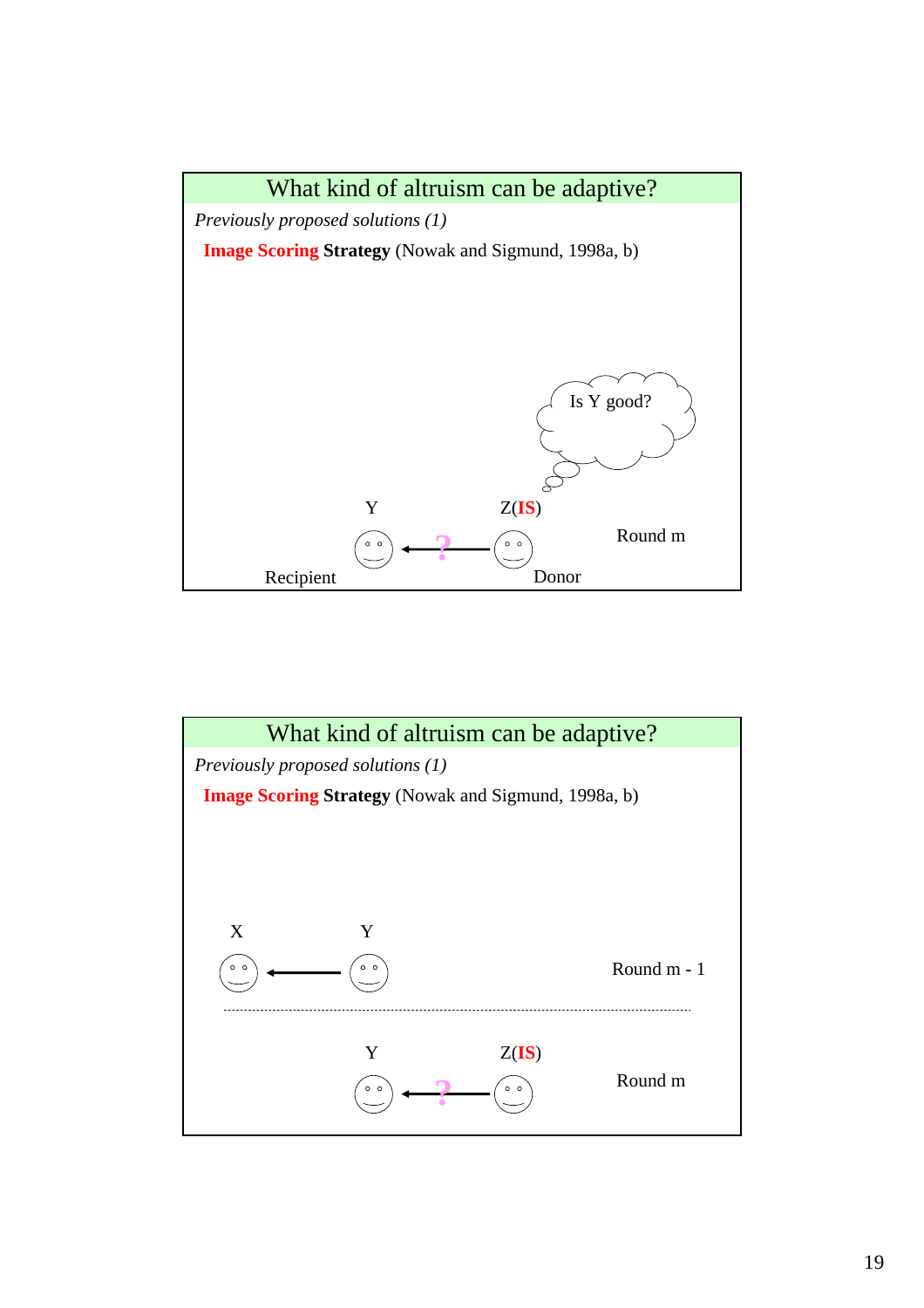

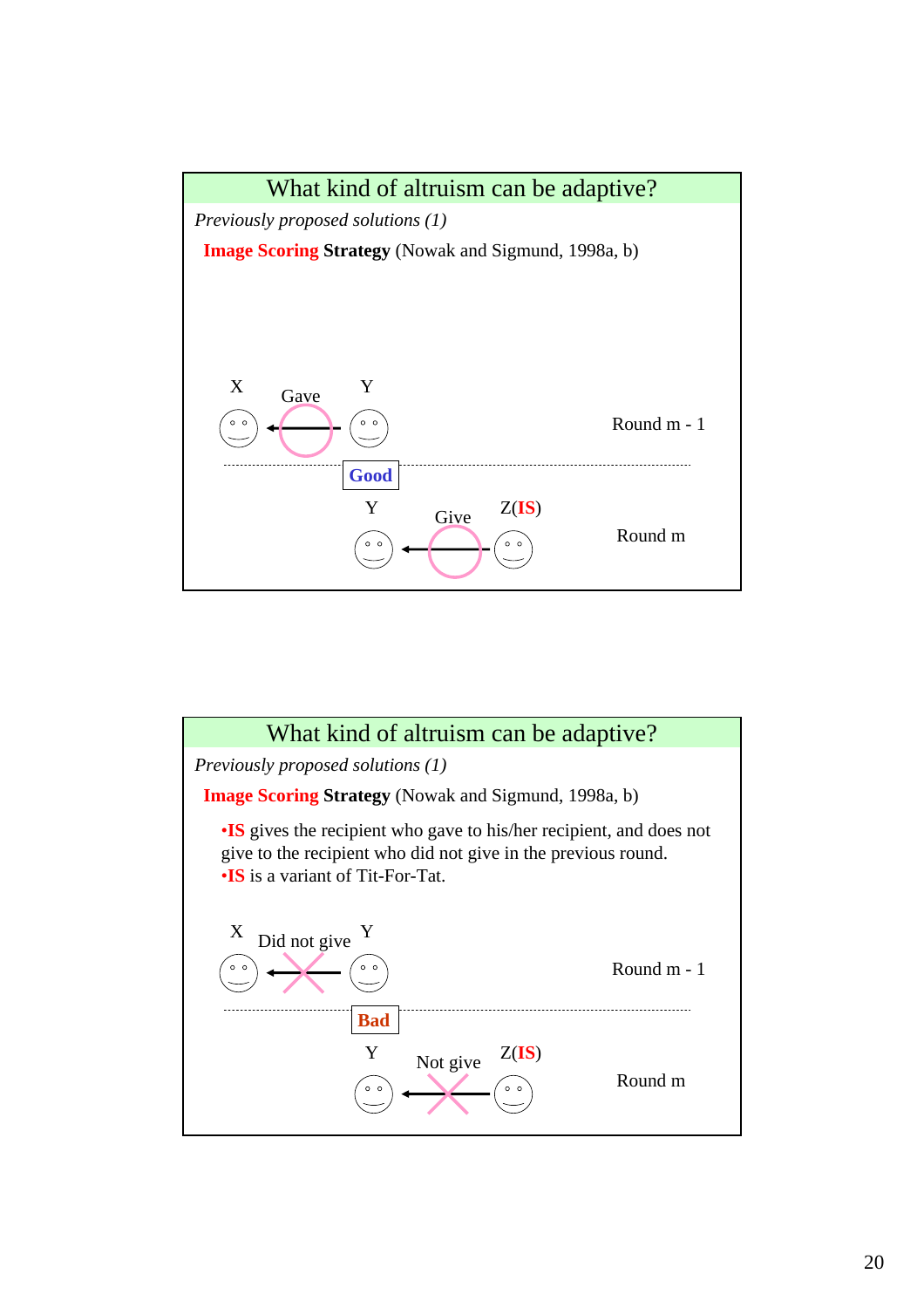

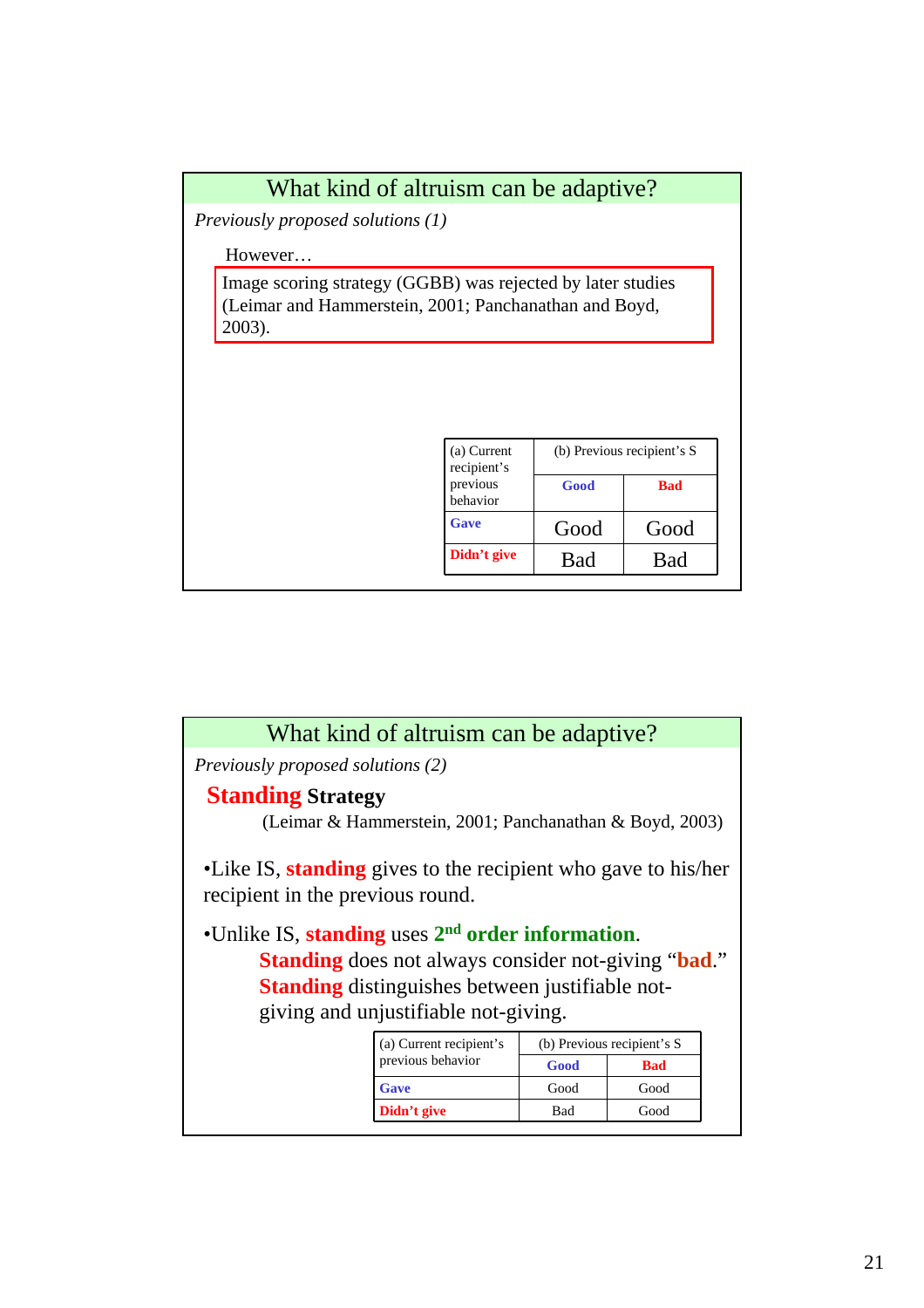

| What kind of altruism can be adaptive?                                              |                                                                                                                                                                       |      |                            |  |  |  |
|-------------------------------------------------------------------------------------|-----------------------------------------------------------------------------------------------------------------------------------------------------------------------|------|----------------------------|--|--|--|
| Previously proposed solutions (2)                                                   |                                                                                                                                                                       |      |                            |  |  |  |
| <b>Standing Strategy</b><br>(Leimar & Hammerstein, 2001; Panchanathan & Boyd, 2003) |                                                                                                                                                                       |      |                            |  |  |  |
|                                                                                     | •Like IS, <b>standing</b> gives to the recipient who gave to his/her<br>recipient in the previous round.                                                              |      |                            |  |  |  |
| •Unlike IS, standing uses 2 <sup>nd</sup> order information.                        | <b>Standing</b> does not always consider not-giving " <b>bad</b> ."<br><b>Standing</b> distinguishes between justifiable not-<br>giving and unjustifiable not-giving. |      |                            |  |  |  |
|                                                                                     | (a) Current recipient's                                                                                                                                               |      | (b) Previous recipient's S |  |  |  |
|                                                                                     | previous behavior                                                                                                                                                     | Good | <b>Bad</b>                 |  |  |  |
|                                                                                     | Gave                                                                                                                                                                  | Good | Good                       |  |  |  |
|                                                                                     |                                                                                                                                                                       |      |                            |  |  |  |

**Didn't give** a Bad Good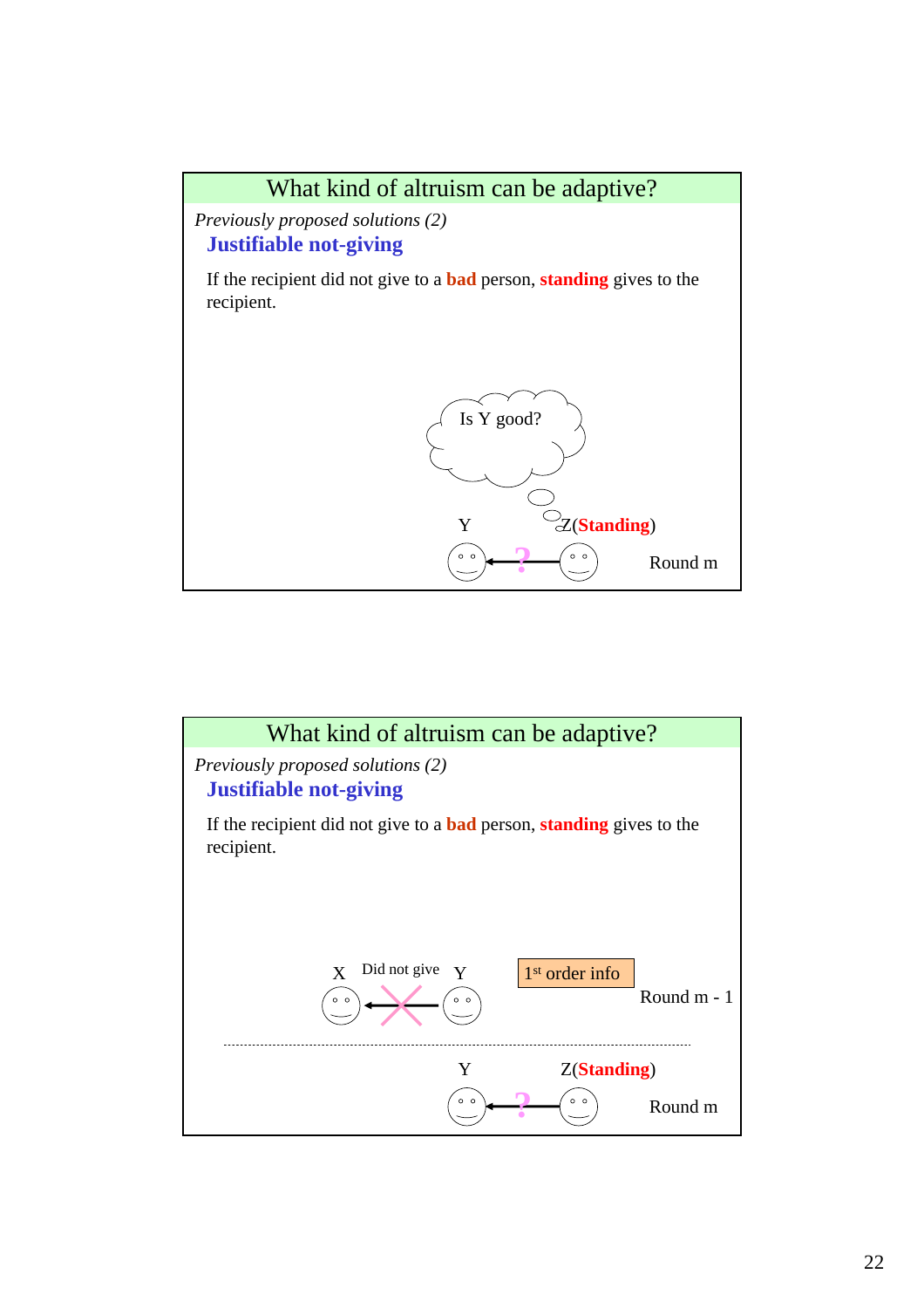

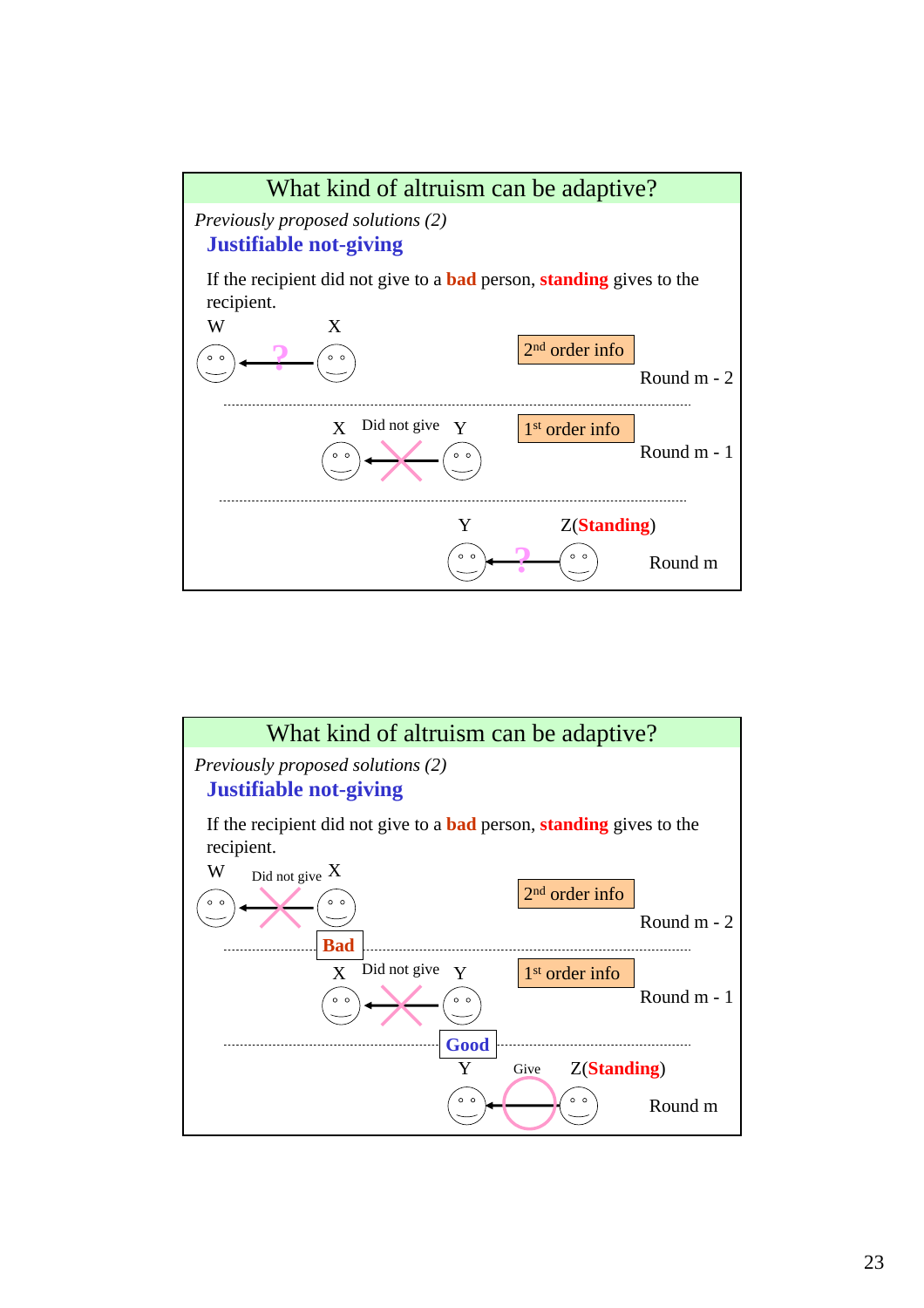

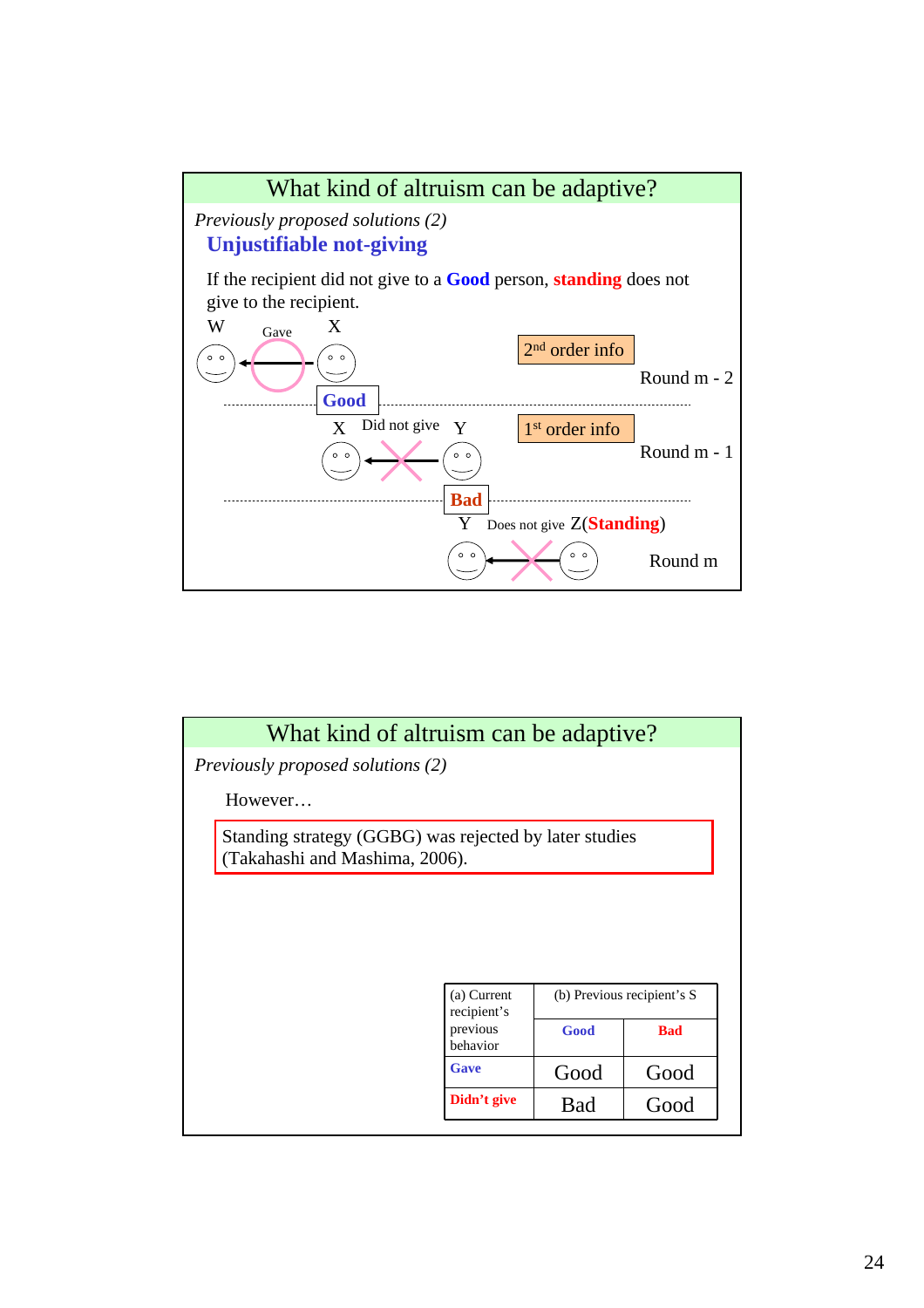

| What kind of altruism can be adaptive?                                                   |                                     |      |                            |
|------------------------------------------------------------------------------------------|-------------------------------------|------|----------------------------|
| <i>Previously proposed solutions (2)</i>                                                 |                                     |      |                            |
| However                                                                                  |                                     |      |                            |
| Standing strategy (GGBG) was rejected by later studies<br>(Takahashi and Mashima, 2006). |                                     |      |                            |
|                                                                                          |                                     |      |                            |
|                                                                                          |                                     |      |                            |
|                                                                                          |                                     |      |                            |
|                                                                                          |                                     |      |                            |
|                                                                                          |                                     |      |                            |
|                                                                                          | (a) Current                         |      | (b) Previous recipient's S |
|                                                                                          | recipient's<br>previous<br>behavior | Good | <b>Bad</b>                 |
|                                                                                          | Gave                                | Good | Good                       |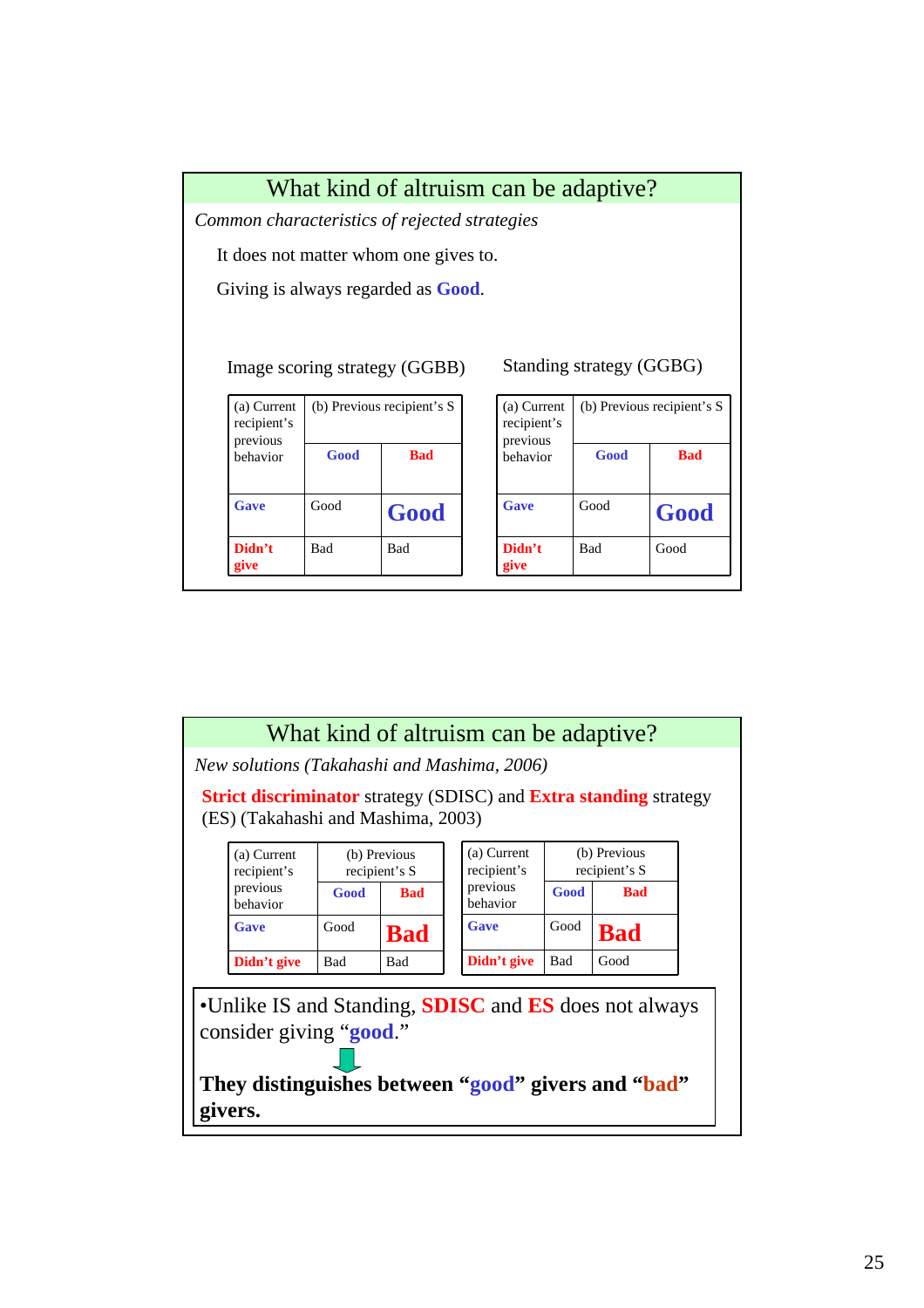

|                                                                                                                                                               | What kind of altruism can be adaptive?      |            |                               |                                                                                 |             |                               |  |
|---------------------------------------------------------------------------------------------------------------------------------------------------------------|---------------------------------------------|------------|-------------------------------|---------------------------------------------------------------------------------|-------------|-------------------------------|--|
|                                                                                                                                                               | New solutions (Takahashi and Mashima, 2006) |            |                               |                                                                                 |             |                               |  |
|                                                                                                                                                               | (ES) (Takahashi and Mashima, 2003)          |            |                               | <b>Strict discriminator</b> strategy (SDISC) and <b>Extra standing</b> strategy |             |                               |  |
|                                                                                                                                                               | (a) Current<br>recipient's                  |            | (b) Previous<br>recipient's S | (a) Current<br>recipient's                                                      |             | (b) Previous<br>recipient's S |  |
|                                                                                                                                                               | previous<br>behavior                        | Good       | <b>Bad</b>                    | previous<br>behavior                                                            | Good        | <b>Bad</b>                    |  |
|                                                                                                                                                               | Gave                                        | Good       | <b>Bad</b>                    | Gave                                                                            | Good        | <b>Bad</b>                    |  |
|                                                                                                                                                               | Didn't give                                 | <b>Bad</b> | <b>Bad</b>                    | Didn't give                                                                     | Bad<br>Good |                               |  |
| •Unlike IS and Standing, <b>SDISC</b> and <b>ES</b> does not always<br>consider giving " <b>good.</b> "<br>They distinguishes between "good" givers and "bad" |                                             |            |                               |                                                                                 |             |                               |  |
|                                                                                                                                                               | givers.                                     |            |                               |                                                                                 |             |                               |  |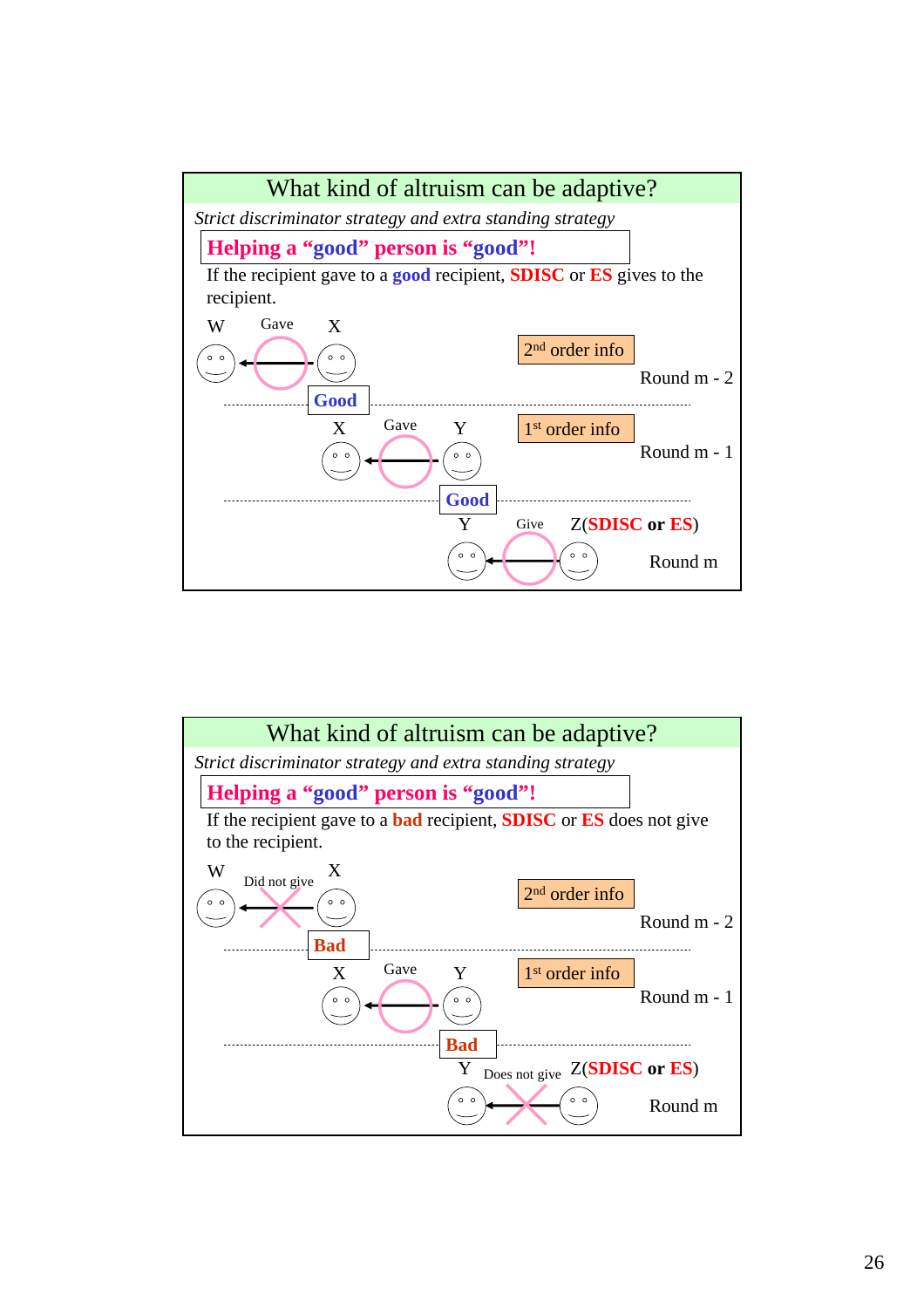

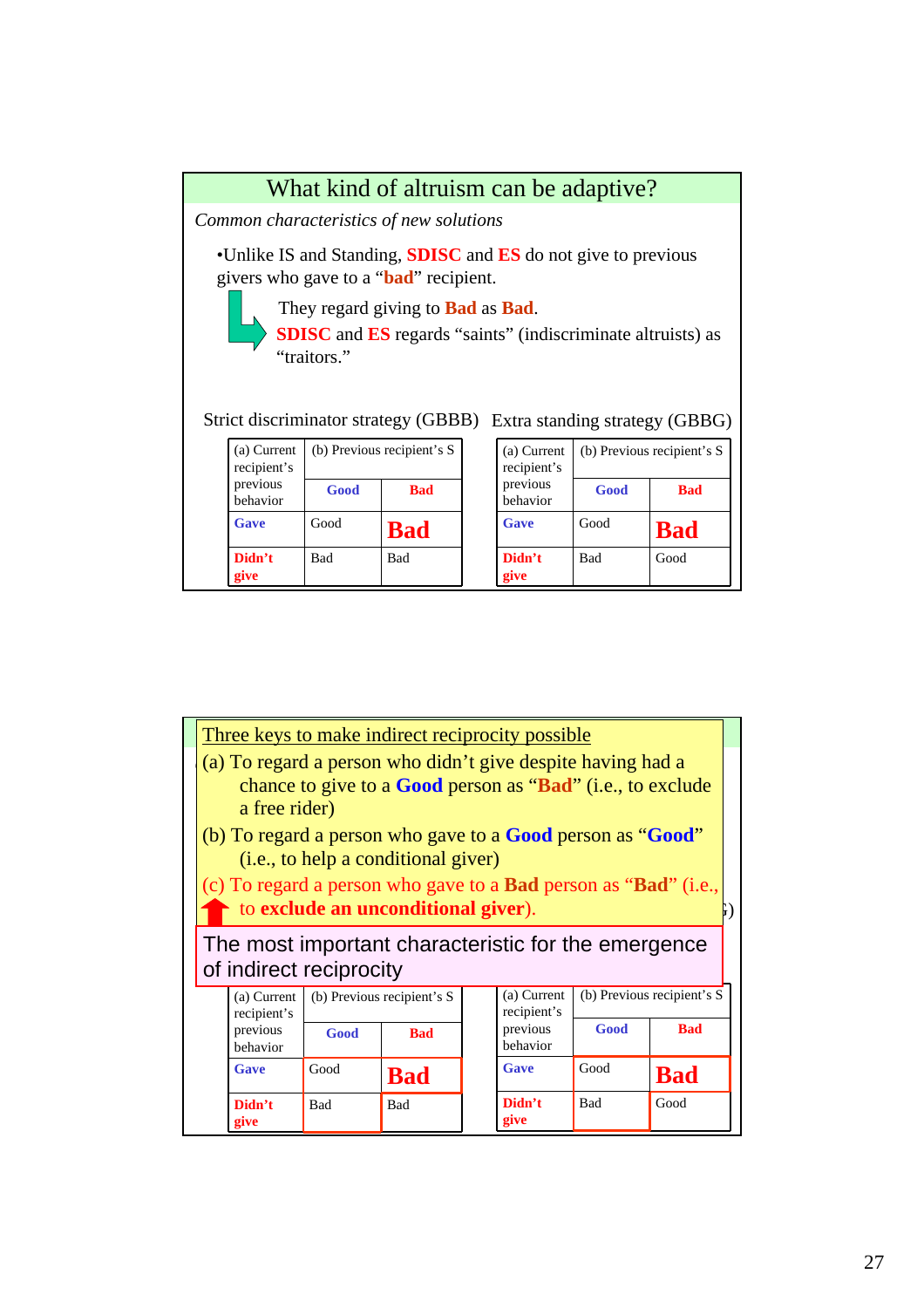| What kind of altruism can be adaptive?                                                                                                                                                                                                                                                                                                               |            |                                         |  |                      |      |            |
|------------------------------------------------------------------------------------------------------------------------------------------------------------------------------------------------------------------------------------------------------------------------------------------------------------------------------------------------------|------------|-----------------------------------------|--|----------------------|------|------------|
|                                                                                                                                                                                                                                                                                                                                                      |            | Common characteristics of new solutions |  |                      |      |            |
| •Unlike IS and Standing, <b>SDISC</b> and <b>ES</b> do not give to previous<br>givers who gave to a " <b>bad</b> " recipient.<br>They regard giving to <b>Bad</b> as <b>Bad</b> .<br><b>SDISC</b> and <b>ES</b> regards "saints" (indiscriminate altruists) as<br>"traitors."<br>Strict discriminator strategy (GBBB) Extra standing strategy (GBBG) |            |                                         |  |                      |      |            |
| (b) Previous recipient's S<br>(b) Previous recipient's S<br>(a) Current<br>(a) Current<br>recipient's<br>recipient's                                                                                                                                                                                                                                 |            |                                         |  |                      |      |            |
| previous<br>behavior                                                                                                                                                                                                                                                                                                                                 | Good       | <b>Bad</b>                              |  | previous<br>behavior | Good | <b>Bad</b> |
| Gave                                                                                                                                                                                                                                                                                                                                                 | Good       | <b>Bad</b>                              |  | Gave                 | Good | <b>Bad</b> |
| Didn't<br>give                                                                                                                                                                                                                                                                                                                                       | <b>Bad</b> | <b>Bad</b>                              |  | Didn't<br>give       | Bad  | Good       |

| Three keys to make indirect reciprocity possible                                                                                                           |            |                                                                                                                   |                                            |                            |            |                            |  |
|------------------------------------------------------------------------------------------------------------------------------------------------------------|------------|-------------------------------------------------------------------------------------------------------------------|--------------------------------------------|----------------------------|------------|----------------------------|--|
| (a) To regard a person who didn't give despite having had a<br>chance to give to a <b>Good</b> person as " <b>Bad</b> " (i.e., to exclude<br>a free rider) |            |                                                                                                                   |                                            |                            |            |                            |  |
|                                                                                                                                                            |            | (b) To regard a person who gave to a <b>Good</b> person as " <b>Good</b> "<br>(i.e., to help a conditional giver) |                                            |                            |            |                            |  |
| (c) To regard a person who gave to a <b>Bad</b> person as " <b>Bad</b> " (i.e.,<br>to exclude an unconditional giver).                                     |            |                                                                                                                   |                                            |                            |            |                            |  |
| The most important characteristic for the emergence<br>of indirect reciprocity                                                                             |            |                                                                                                                   |                                            |                            |            |                            |  |
| (a) Current<br>recipient's                                                                                                                                 |            | (b) Previous recipient's S                                                                                        |                                            | (a) Current<br>recipient's |            | (b) Previous recipient's S |  |
| previous<br>behavior                                                                                                                                       | Good       | <b>Bad</b>                                                                                                        | Good<br>previous<br><b>Bad</b><br>behavior |                            |            |                            |  |
| Gave                                                                                                                                                       | Good       | <b>Bad</b>                                                                                                        |                                            | <b>Gave</b>                | Good       | <b>Bad</b>                 |  |
| Didn't<br>give                                                                                                                                             | <b>Bad</b> | <b>Bad</b>                                                                                                        |                                            | Didn't<br>give             | <b>Bad</b> | Good                       |  |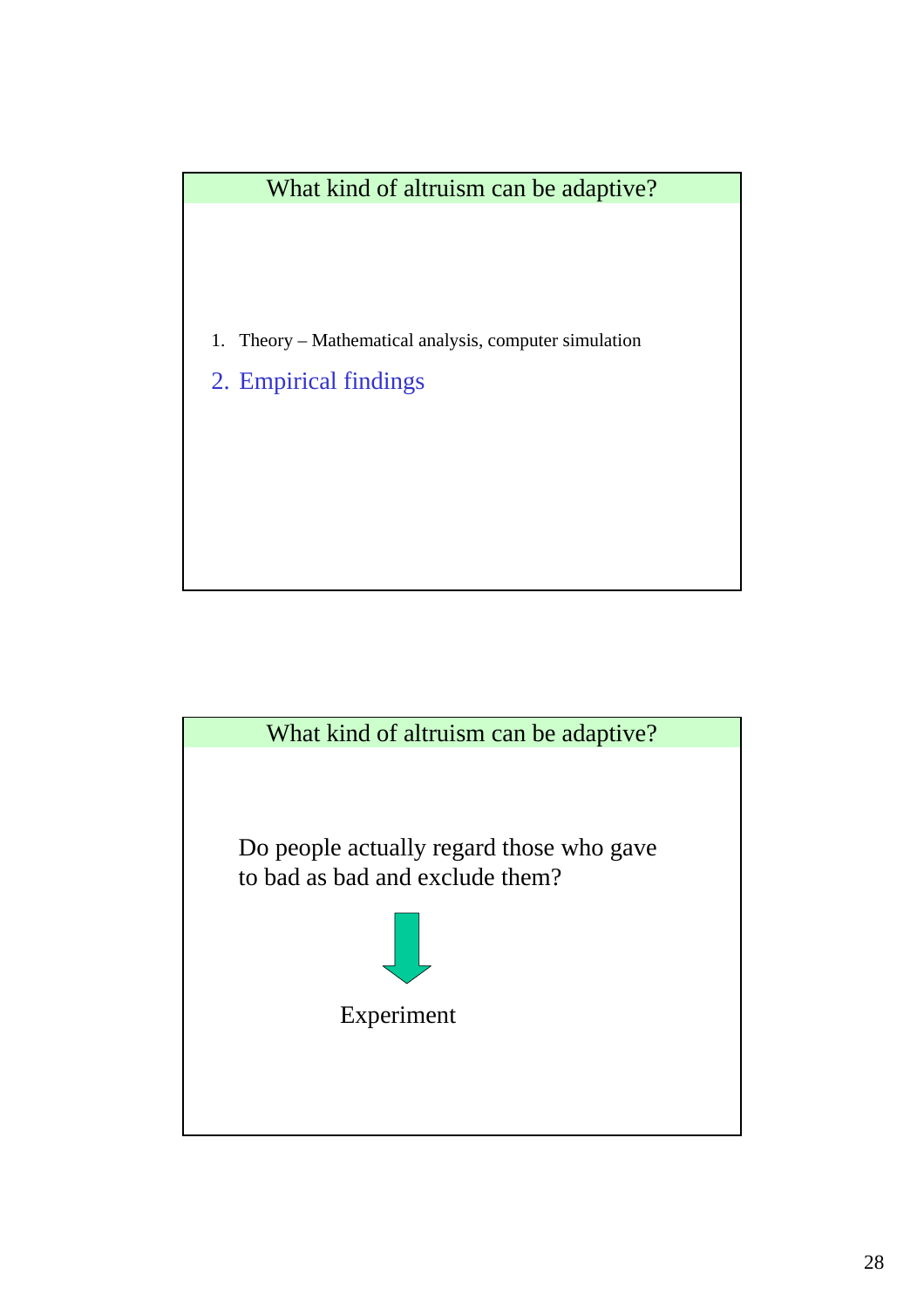

- 1. Theory Mathematical analysis, computer simulation
- 2. Empirical findings

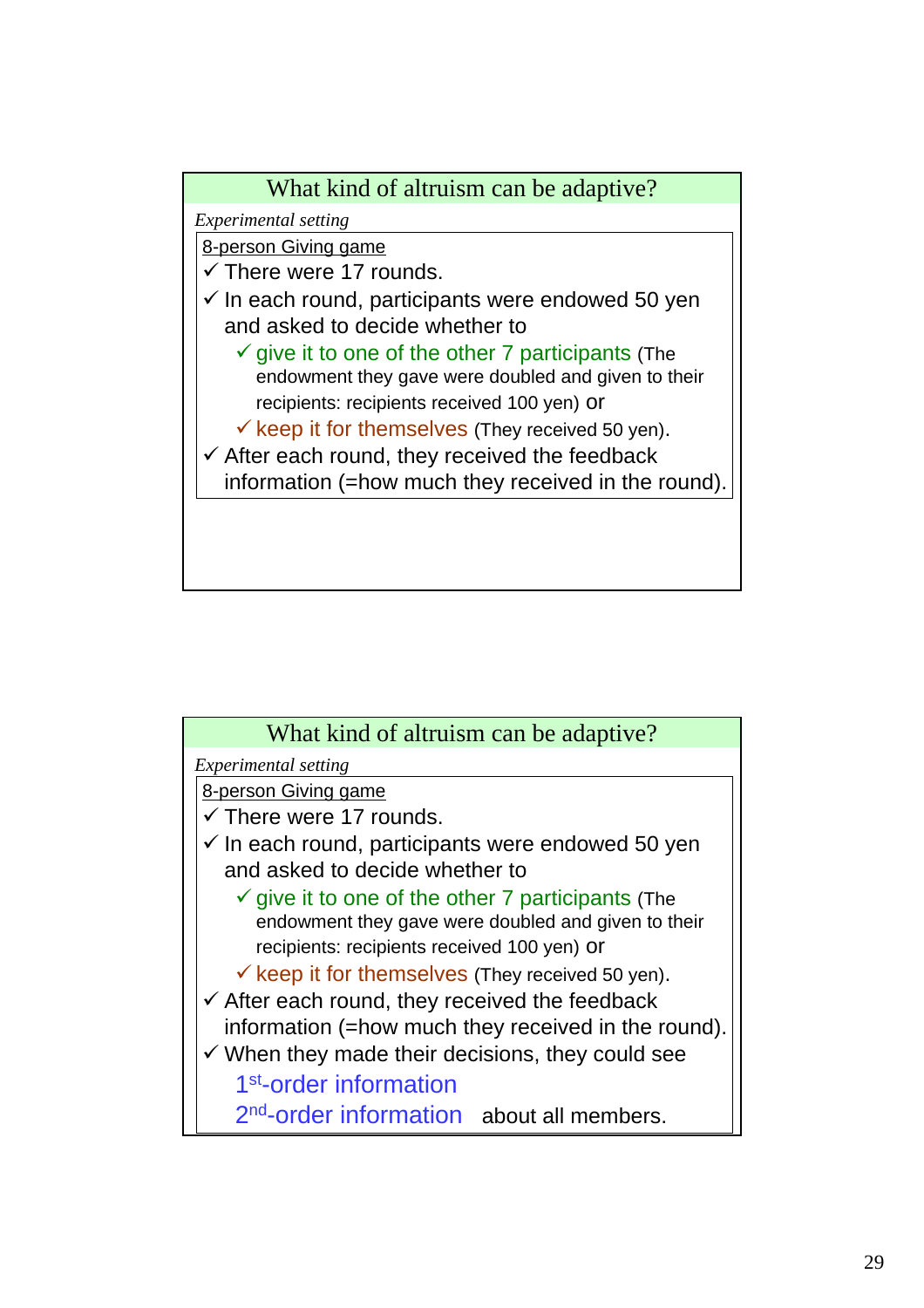

| What kind of altruism can be adaptive?                       |
|--------------------------------------------------------------|
| Experimental setting                                         |
| 8-person Giving game                                         |
| $\checkmark$ There were 17 rounds.                           |
| $\checkmark$ In each round, participants were endowed 50 yen |
| and asked to decide whether to                               |
| $\checkmark$ give it to one of the other 7 participants (The |
| endowment they gave were doubled and given to their          |
| recipients: recipients received 100 yen) Or                  |
| $\checkmark$ keep it for themselves (They received 50 yen).  |
| $\checkmark$ After each round, they received the feedback    |
| information (=how much they received in the round).          |
| $\checkmark$ When they made their decisions, they could see  |
| 1 <sup>st</sup> -order information                           |
| 2 <sup>nd</sup> -order information about all members.        |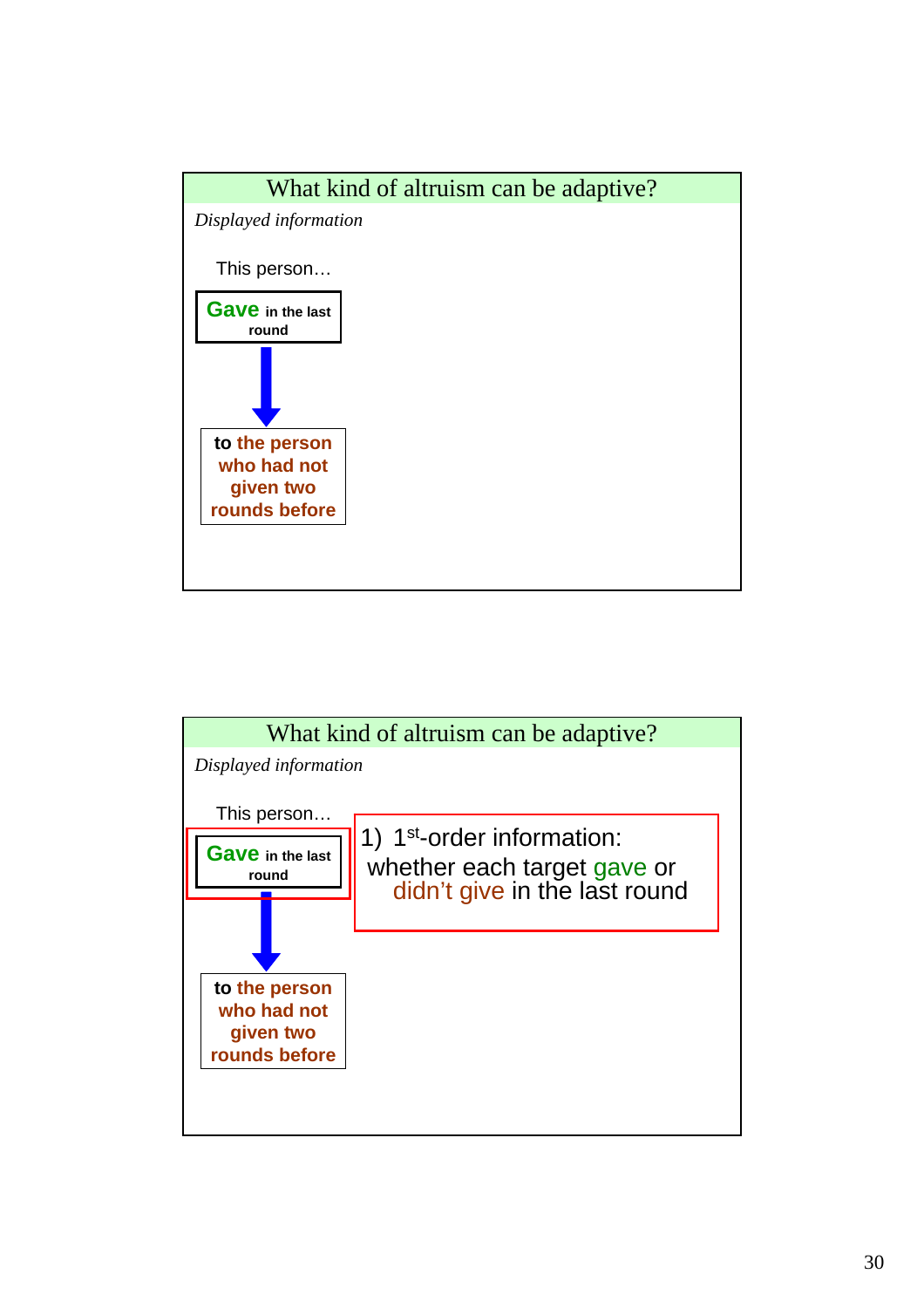

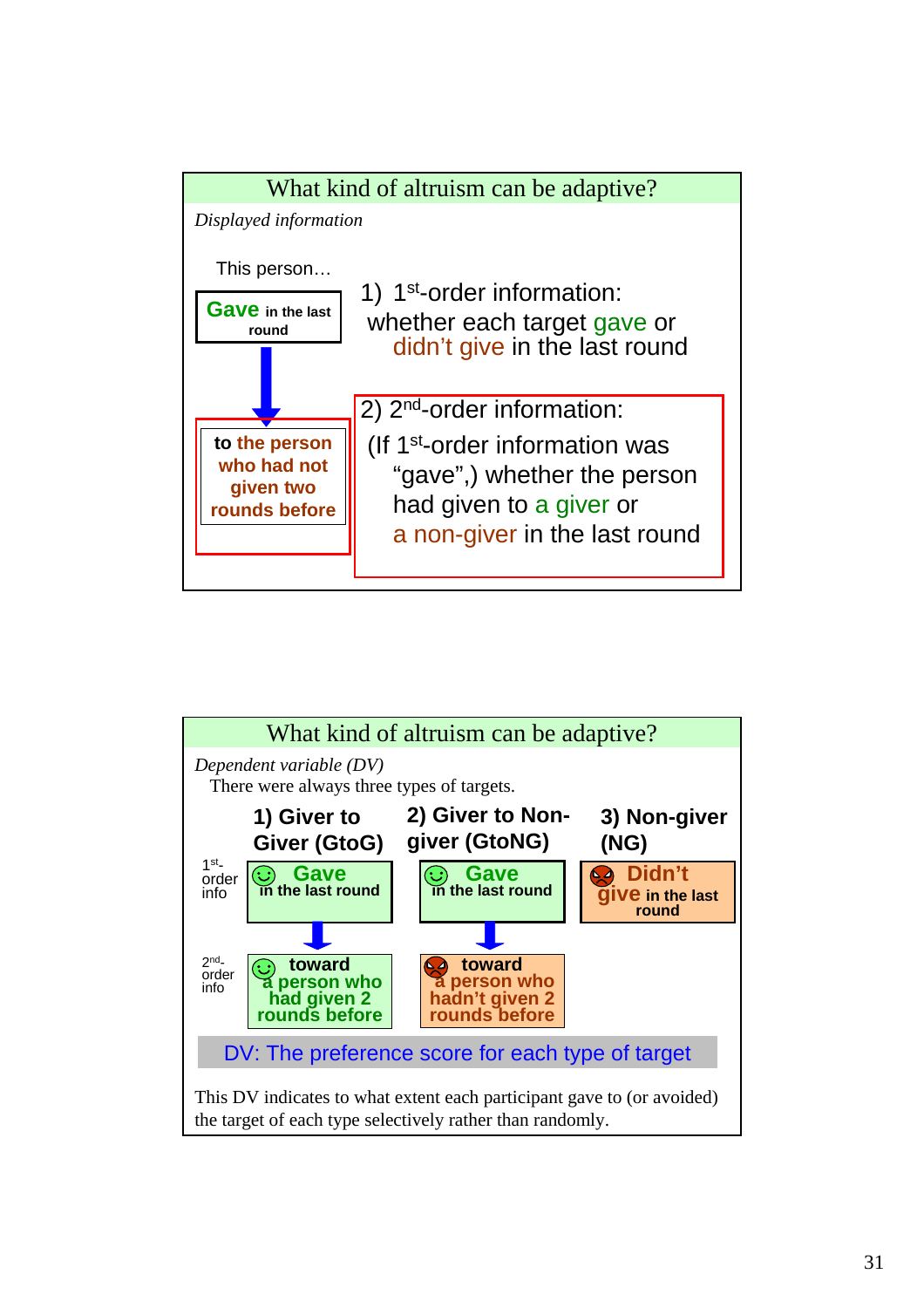

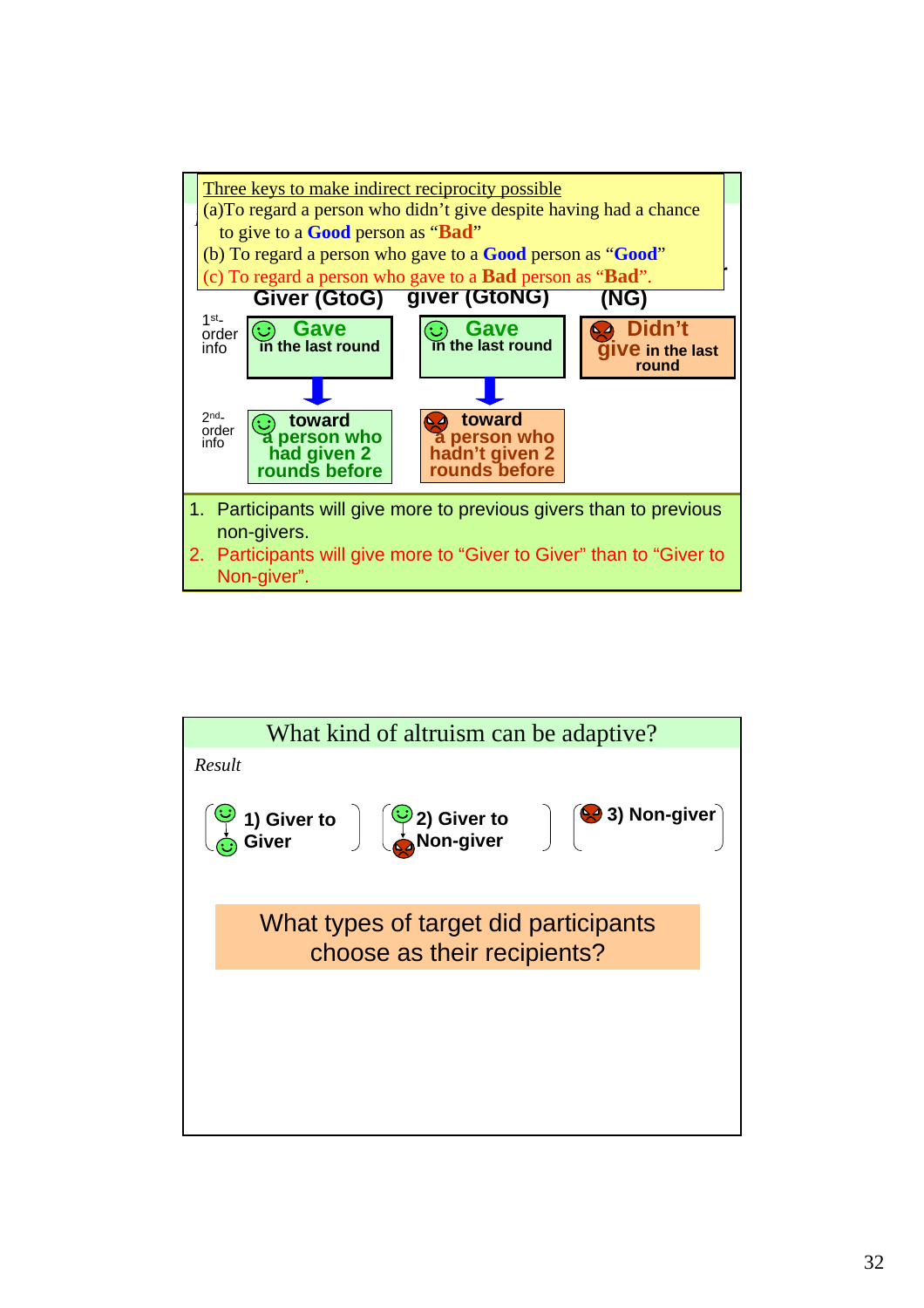

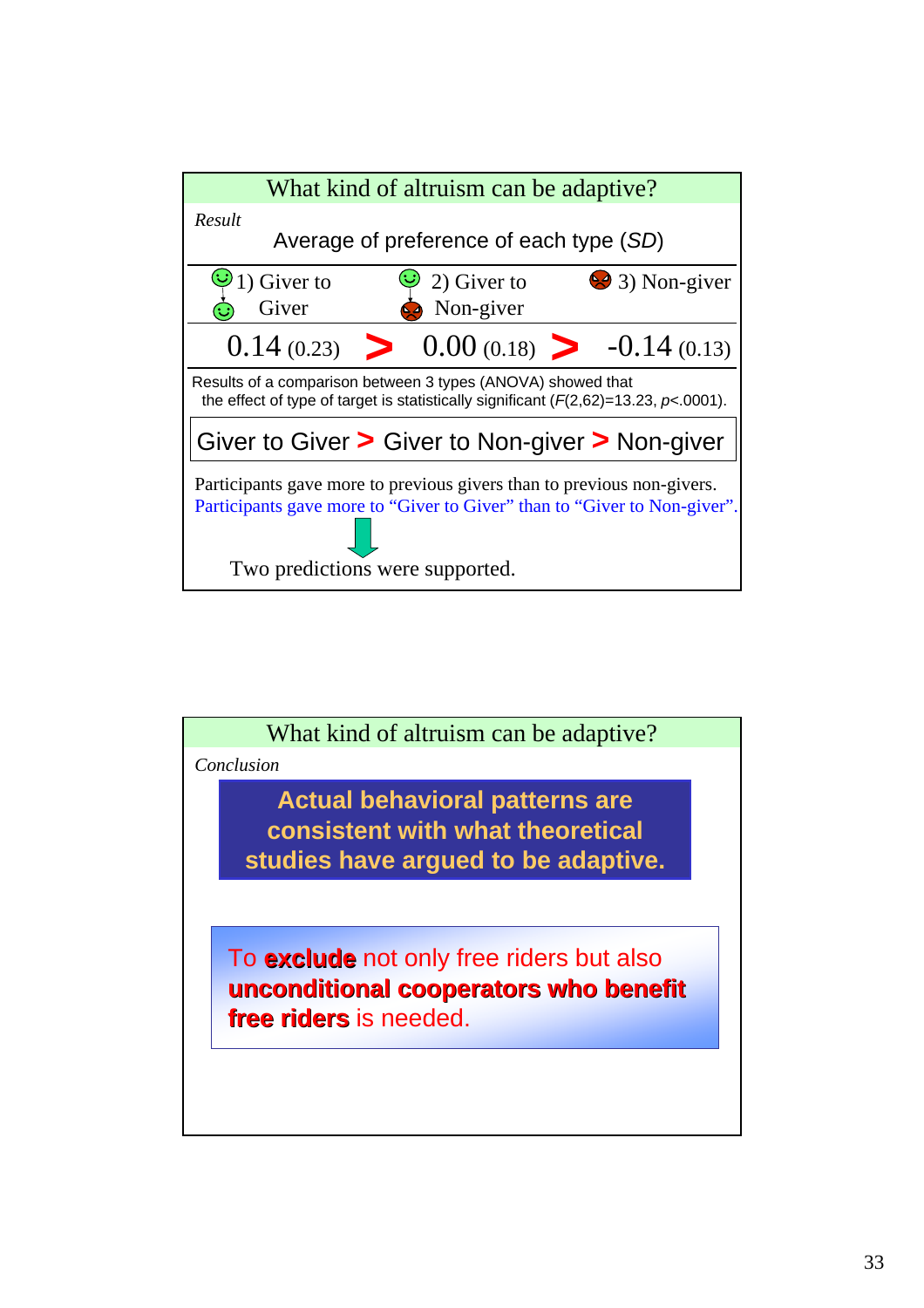